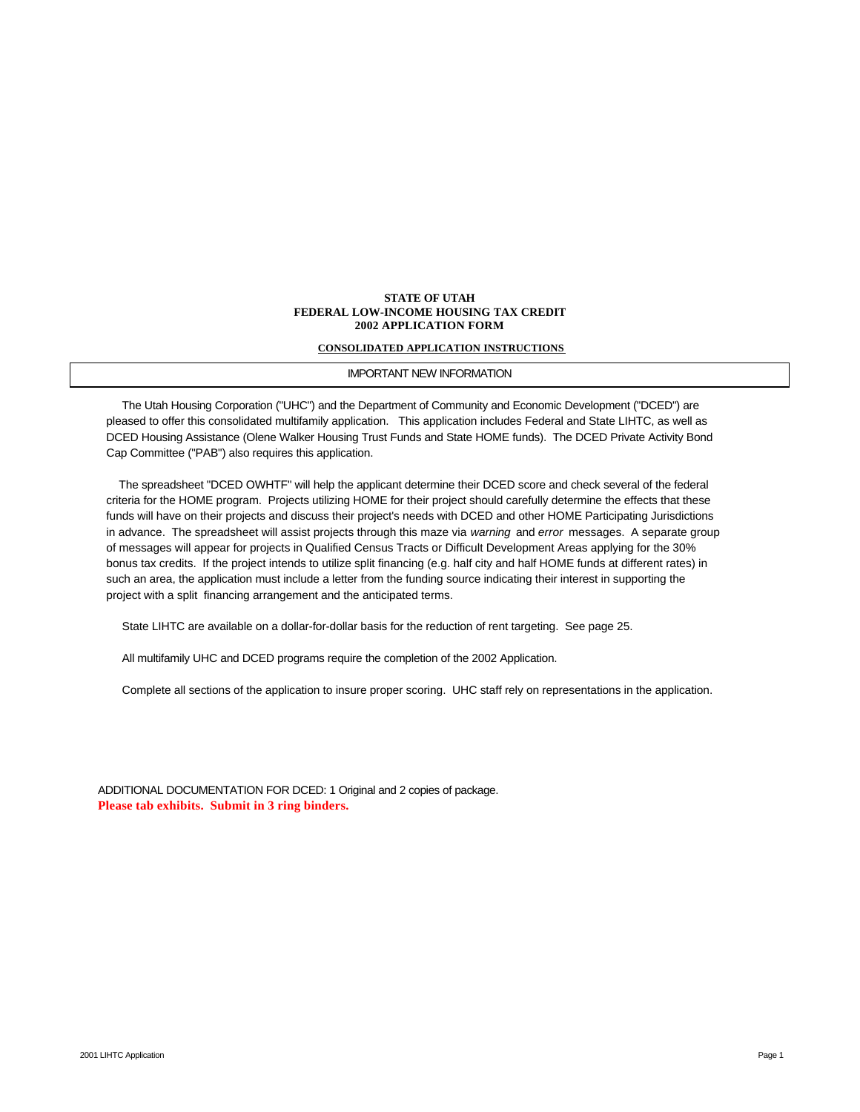### **STATE OF UTAH FEDERAL LOW-INCOME HOUSING TAX CREDIT 2002 APPLICATION FORM**

### **CONSOLIDATED APPLICATION INSTRUCTIONS**

### IMPORTANT NEW INFORMATION

 The Utah Housing Corporation ("UHC") and the Department of Community and Economic Development ("DCED") are pleased to offer this consolidated multifamily application. This application includes Federal and State LIHTC, as well as DCED Housing Assistance (Olene Walker Housing Trust Funds and State HOME funds). The DCED Private Activity Bond Cap Committee ("PAB") also requires this application.

 The spreadsheet "DCED OWHTF" will help the applicant determine their DCED score and check several of the federal criteria for the HOME program. Projects utilizing HOME for their project should carefully determine the effects that these funds will have on their projects and discuss their project's needs with DCED and other HOME Participating Jurisdictions in advance. The spreadsheet will assist projects through this maze via *warning* and *error* messages. A separate group of messages will appear for projects in Qualified Census Tracts or Difficult Development Areas applying for the 30% bonus tax credits. If the project intends to utilize split financing (e.g. half city and half HOME funds at different rates) in such an area, the application must include a letter from the funding source indicating their interest in supporting the project with a split financing arrangement and the anticipated terms.

State LIHTC are available on a dollar-for-dollar basis for the reduction of rent targeting. See page 25.

All multifamily UHC and DCED programs require the completion of the 2002 Application.

Complete all sections of the application to insure proper scoring. UHC staff rely on representations in the application.

ADDITIONAL DOCUMENTATION FOR DCED: 1 Original and 2 copies of package. **Please tab exhibits. Submit in 3 ring binders.**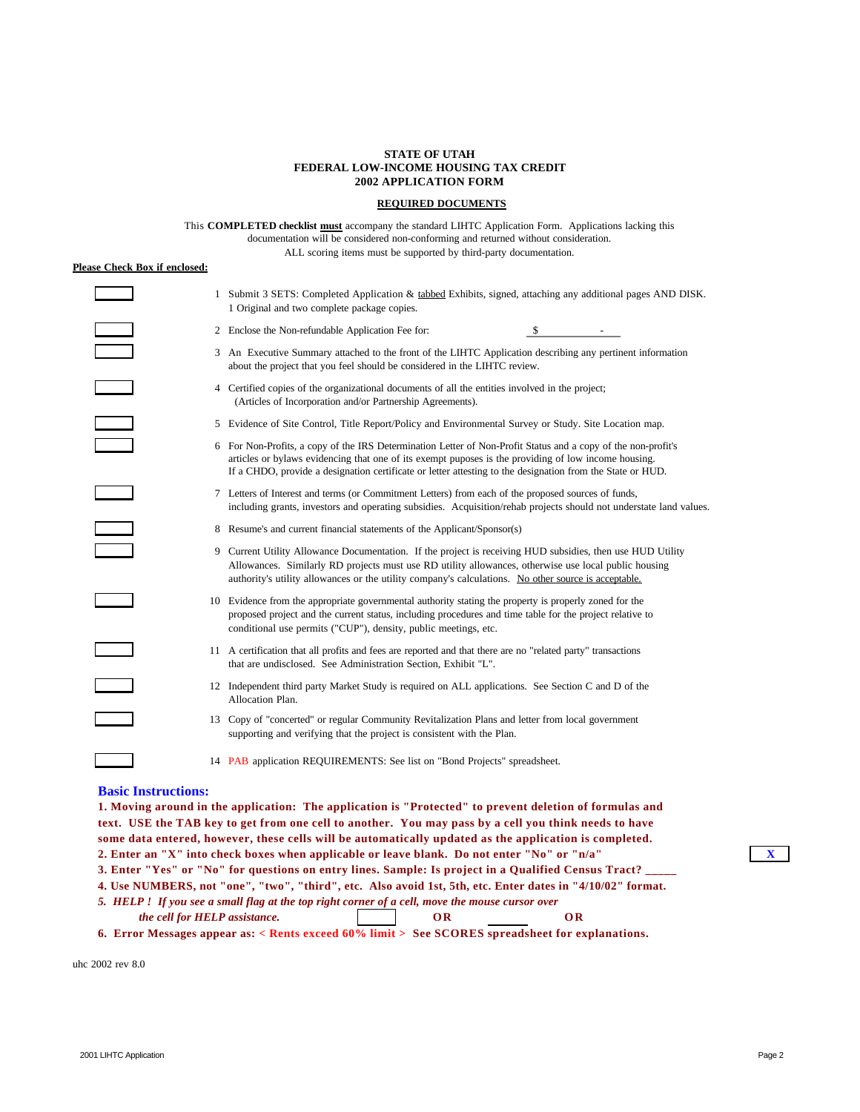### **STATE OF UTAH FEDERAL LOW-INCOME HOUSING TAX CREDIT 2002 APPLICATION FORM**

### **REQUIRED DOCUMENTS**

This **COMPLETED checklist must** accompany the standard LIHTC Application Form. Applications lacking this documentation will be considered non-conforming and returned without consideration. ALL scoring items must be supported by third-party documentation.

#### **Please Check Box if enclosed:**

|                          | 1 Submit 3 SETS: Completed Application & tabbed Exhibits, signed, attaching any additional pages AND DISK.<br>1 Original and two complete package copies.                                                                                                                                                                           |
|--------------------------|-------------------------------------------------------------------------------------------------------------------------------------------------------------------------------------------------------------------------------------------------------------------------------------------------------------------------------------|
|                          | 2 Enclose the Non-refundable Application Fee for:<br>-\$                                                                                                                                                                                                                                                                            |
|                          | 3 An Executive Summary attached to the front of the LIHTC Application describing any pertinent information<br>about the project that you feel should be considered in the LIHTC review.                                                                                                                                             |
|                          | 4 Certified copies of the organizational documents of all the entities involved in the project;<br>(Articles of Incorporation and/or Partnership Agreements).                                                                                                                                                                       |
|                          | 5 Evidence of Site Control, Title Report/Policy and Environmental Survey or Study. Site Location map.                                                                                                                                                                                                                               |
|                          | 6 For Non-Profits, a copy of the IRS Determination Letter of Non-Profit Status and a copy of the non-profit's<br>articles or bylaws evidencing that one of its exempt puposes is the providing of low income housing.<br>If a CHDO, provide a designation certificate or letter attesting to the designation from the State or HUD. |
|                          | 7 Letters of Interest and terms (or Commitment Letters) from each of the proposed sources of funds,<br>including grants, investors and operating subsidies. Acquisition/rehab projects should not understate land values.                                                                                                           |
|                          | 8 Resume's and current financial statements of the Applicant/Sponsor(s)                                                                                                                                                                                                                                                             |
|                          | 9 Current Utility Allowance Documentation. If the project is receiving HUD subsidies, then use HUD Utility<br>Allowances. Similarly RD projects must use RD utility allowances, otherwise use local public housing<br>authority's utility allowances or the utility company's calculations. No other source is acceptable.          |
|                          | 10 Evidence from the appropriate governmental authority stating the property is properly zoned for the<br>proposed project and the current status, including procedures and time table for the project relative to<br>conditional use permits ("CUP"), density, public meetings, etc.                                               |
|                          | 11 A certification that all profits and fees are reported and that there are no "related party" transactions<br>that are undisclosed. See Administration Section, Exhibit "L".                                                                                                                                                      |
|                          | 12 Independent third party Market Study is required on ALL applications. See Section C and D of the<br>Allocation Plan.                                                                                                                                                                                                             |
| $\overline{\phantom{0}}$ | 13 Copy of "concerted" or regular Community Revitalization Plans and letter from local government<br>supporting and verifying that the project is consistent with the Plan.                                                                                                                                                         |
|                          | 14 PAB application REQUIREMENTS: See list on "Bond Projects" spreadsheet.                                                                                                                                                                                                                                                           |

### **Basic Instructions:**

**1. Moving around in the application: The application is "Protected" to prevent deletion of formulas and text. USE the TAB key to get from one cell to another. You may pass by a cell you think needs to have some data entered, however, these cells will be automatically updated as the application is completed. 2. Enter an "X" into check boxes when applicable or leave blank. Do not enter "No" or "n/a" X 3. Enter "Yes" or "No" for questions on entry lines. Sample: Is project in a Qualified Census Tract? \_\_\_\_\_ 4. Use NUMBERS, not "one", "two", "third", etc. Also avoid 1st, 5th, etc. Enter dates in "4/10/02" format.** *5. HELP ! If you see a small flag at the top right corner of a cell, move the mouse cursor over cell for HELP assistance.* **OR OR OR 6. Error Messages appear as: < Rents exceed 60% limit > See SCORES spreadsheet for explanations.**

uhc 2002 rev 8.0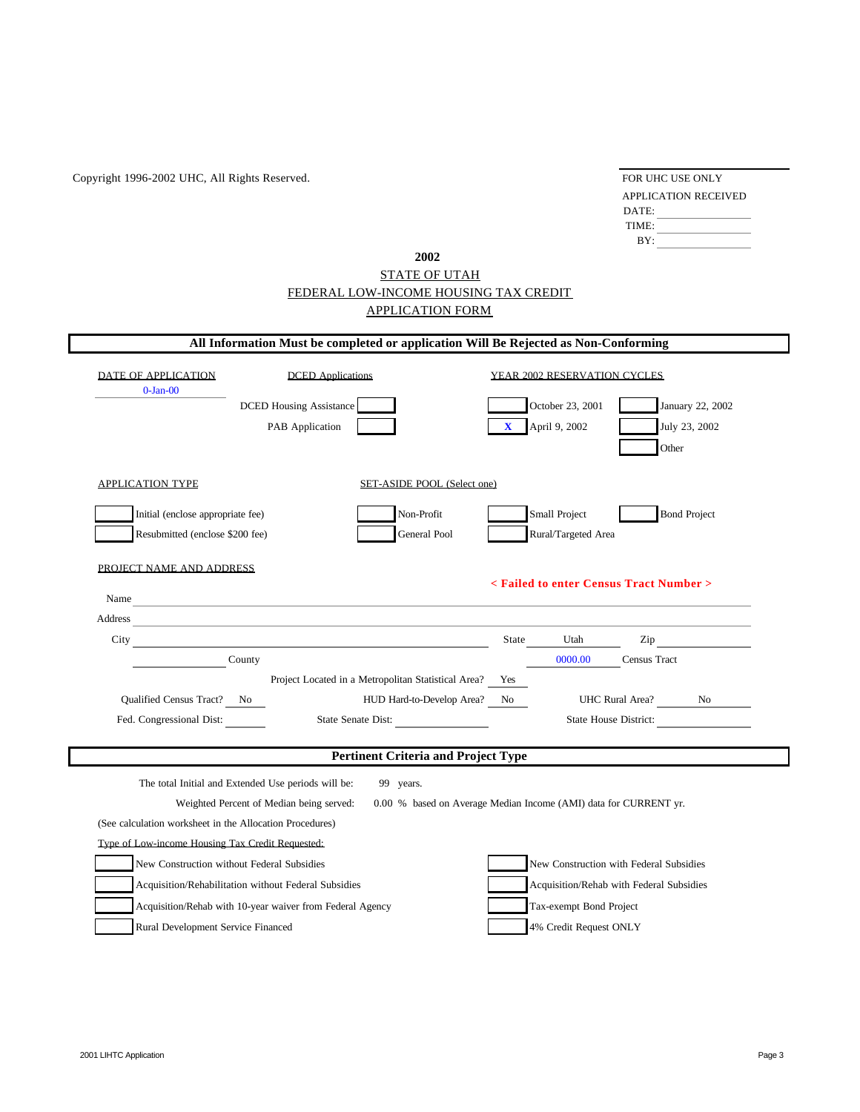Copyright 1996-2002 UHC, All Rights Reserved.

| FOR UHC USE ONLY     |  |  |  |  |  |  |
|----------------------|--|--|--|--|--|--|
| APPLICATION RECEIVED |  |  |  |  |  |  |
| $\mathbf{DATE}$      |  |  |  |  |  |  |
| <b>TIME</b>          |  |  |  |  |  |  |
| BY.                  |  |  |  |  |  |  |

# FEDERAL LOW-INCOME HOUSING TAX CREDIT APPLICATION FORM STATE OF UTAH **2002**

|                                                          | All Information Must be completed or application Will Be Rejected as Non-Conforming                                                                                                                                            |                                                                  |                |                              |                                          |                                                                                                                                                                                                                                |
|----------------------------------------------------------|--------------------------------------------------------------------------------------------------------------------------------------------------------------------------------------------------------------------------------|------------------------------------------------------------------|----------------|------------------------------|------------------------------------------|--------------------------------------------------------------------------------------------------------------------------------------------------------------------------------------------------------------------------------|
| DATE OF APPLICATION<br>$0$ -Jan- $00$                    | <b>DCED</b> Applications                                                                                                                                                                                                       |                                                                  |                | YEAR 2002 RESERVATION CYCLES |                                          |                                                                                                                                                                                                                                |
|                                                          | <b>DCED Housing Assistance</b>                                                                                                                                                                                                 |                                                                  |                | October 23, 2001             |                                          | January 22, 2002                                                                                                                                                                                                               |
|                                                          | PAB Application                                                                                                                                                                                                                |                                                                  | $\mathbf{x}$   | April 9, 2002                |                                          | July 23, 2002                                                                                                                                                                                                                  |
|                                                          |                                                                                                                                                                                                                                |                                                                  |                |                              | Other                                    |                                                                                                                                                                                                                                |
| APPLICATION TYPE                                         |                                                                                                                                                                                                                                | SET-ASIDE POOL (Select one)                                      |                |                              |                                          |                                                                                                                                                                                                                                |
| Initial (enclose appropriate fee)                        |                                                                                                                                                                                                                                | Non-Profit                                                       |                | Small Project                |                                          | <b>Bond Project</b>                                                                                                                                                                                                            |
| Resubmitted (enclose \$200 fee)                          |                                                                                                                                                                                                                                | General Pool                                                     |                | Rural/Targeted Area          |                                          |                                                                                                                                                                                                                                |
|                                                          |                                                                                                                                                                                                                                |                                                                  |                |                              |                                          |                                                                                                                                                                                                                                |
| PROJECT NAME AND ADDRESS                                 |                                                                                                                                                                                                                                |                                                                  |                |                              |                                          |                                                                                                                                                                                                                                |
|                                                          |                                                                                                                                                                                                                                |                                                                  |                |                              | < Failed to enter Census Tract Number >  |                                                                                                                                                                                                                                |
|                                                          | Name                                                                                                                                                                                                                           |                                                                  |                |                              |                                          |                                                                                                                                                                                                                                |
|                                                          | Address and the contract of the contract of the contract of the contract of the contract of the contract of the contract of the contract of the contract of the contract of the contract of the contract of the contract of th |                                                                  |                |                              |                                          |                                                                                                                                                                                                                                |
| City                                                     |                                                                                                                                                                                                                                |                                                                  | State          | Utah                         |                                          | Zip and the same state of the state of the state of the state of the state of the state of the state of the state of the state of the state of the state of the state of the state of the state of the state of the state of t |
|                                                          | County                                                                                                                                                                                                                         |                                                                  |                | 0000.00                      | Census Tract                             |                                                                                                                                                                                                                                |
|                                                          |                                                                                                                                                                                                                                | Project Located in a Metropolitan Statistical Area?              | Yes            |                              |                                          |                                                                                                                                                                                                                                |
| Qualified Census Tract? No                               |                                                                                                                                                                                                                                | HUD Hard-to-Develop Area?                                        | N <sub>0</sub> |                              | UHC Rural Area? No                       |                                                                                                                                                                                                                                |
| Fed. Congressional Dist:                                 |                                                                                                                                                                                                                                | State Senate Dist:                                               |                |                              | State House District:                    |                                                                                                                                                                                                                                |
|                                                          |                                                                                                                                                                                                                                | <b>Pertinent Criteria and Project Type</b>                       |                |                              |                                          |                                                                                                                                                                                                                                |
|                                                          |                                                                                                                                                                                                                                |                                                                  |                |                              |                                          |                                                                                                                                                                                                                                |
|                                                          | The total Initial and Extended Use periods will be:                                                                                                                                                                            | 99 years.                                                        |                |                              |                                          |                                                                                                                                                                                                                                |
|                                                          | Weighted Percent of Median being served:                                                                                                                                                                                       | 0.00 % based on Average Median Income (AMI) data for CURRENT yr. |                |                              |                                          |                                                                                                                                                                                                                                |
| (See calculation worksheet in the Allocation Procedures) |                                                                                                                                                                                                                                |                                                                  |                |                              |                                          |                                                                                                                                                                                                                                |
| Type of Low-income Housing Tax Credit Requested:         |                                                                                                                                                                                                                                |                                                                  |                |                              |                                          |                                                                                                                                                                                                                                |
|                                                          | New Construction without Federal Subsidies                                                                                                                                                                                     |                                                                  |                |                              | New Construction with Federal Subsidies  |                                                                                                                                                                                                                                |
|                                                          | Acquisition/Rehabilitation without Federal Subsidies                                                                                                                                                                           |                                                                  |                |                              | Acquisition/Rehab with Federal Subsidies |                                                                                                                                                                                                                                |
|                                                          | Acquisition/Rehab with 10-year waiver from Federal Agency                                                                                                                                                                      |                                                                  |                | Tax-exempt Bond Project      |                                          |                                                                                                                                                                                                                                |
| Rural Development Service Financed                       |                                                                                                                                                                                                                                |                                                                  |                | 4% Credit Request ONLY       |                                          |                                                                                                                                                                                                                                |
|                                                          |                                                                                                                                                                                                                                |                                                                  |                |                              |                                          |                                                                                                                                                                                                                                |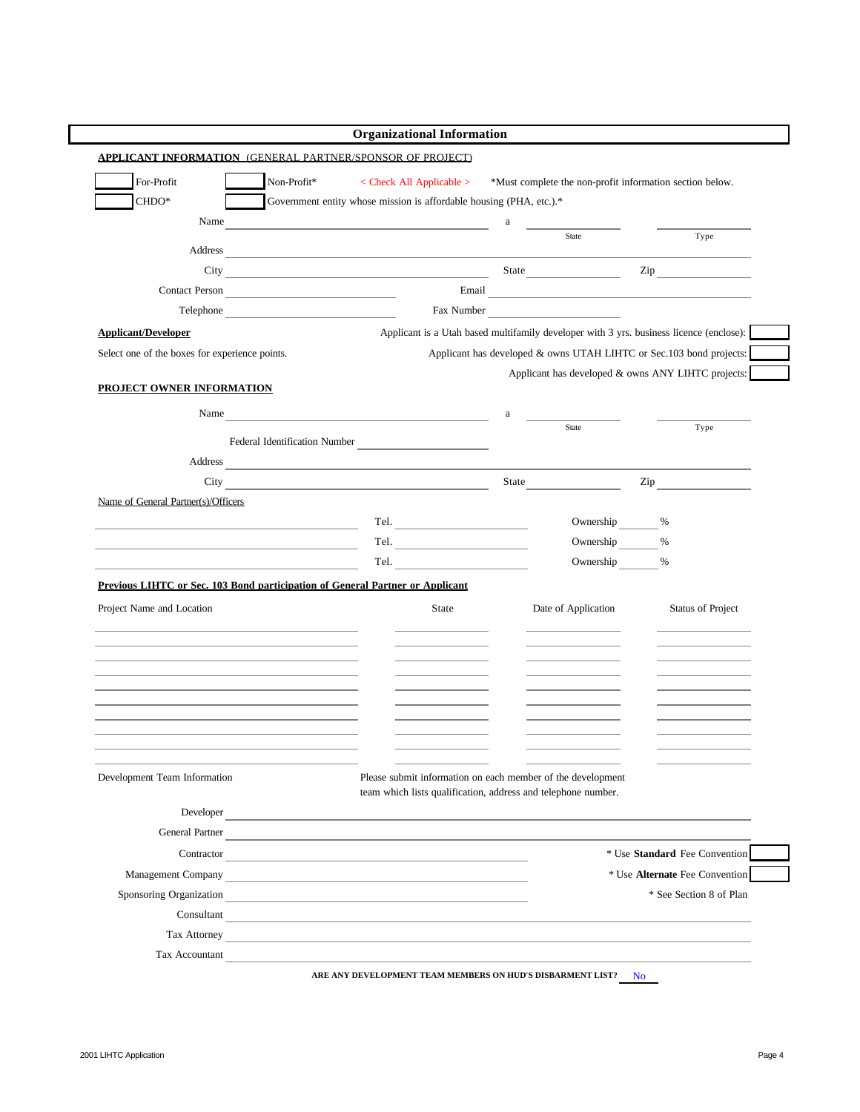|                                                                                                                                                                                              | <b>Organizational Information</b>                                                                                                                                                                                                   |            |                     |                                                                                                                                                                                                                                |
|----------------------------------------------------------------------------------------------------------------------------------------------------------------------------------------------|-------------------------------------------------------------------------------------------------------------------------------------------------------------------------------------------------------------------------------------|------------|---------------------|--------------------------------------------------------------------------------------------------------------------------------------------------------------------------------------------------------------------------------|
| <b>APPLICANT INFORMATION (GENERAL PARTNER/SPONSOR OF PROJECT)</b>                                                                                                                            |                                                                                                                                                                                                                                     |            |                     |                                                                                                                                                                                                                                |
| For-Profit<br>Non-Profit*                                                                                                                                                                    | $\langle$ Check All Applicable $>$                                                                                                                                                                                                  |            |                     | *Must complete the non-profit information section below.                                                                                                                                                                       |
| CHDO*                                                                                                                                                                                        | Government entity whose mission is affordable housing (PHA, etc.).*                                                                                                                                                                 |            |                     |                                                                                                                                                                                                                                |
| Name                                                                                                                                                                                         | <u> 1989 - Johann Barbara, martxa eta batarra (h. 1982).</u>                                                                                                                                                                        | a          |                     |                                                                                                                                                                                                                                |
| Address                                                                                                                                                                                      |                                                                                                                                                                                                                                     |            | State               | Type                                                                                                                                                                                                                           |
|                                                                                                                                                                                              | City State State State State State State State State State State State State State State State State State State State State State State State State State State State State State State State State State State State State S      |            |                     | $\mathsf{Zip} \longrightarrow$                                                                                                                                                                                                 |
| Contact Person                                                                                                                                                                               |                                                                                                                                                                                                                                     | Email      |                     |                                                                                                                                                                                                                                |
| Telephone                                                                                                                                                                                    |                                                                                                                                                                                                                                     | Fax Number |                     |                                                                                                                                                                                                                                |
| <b>Applicant/Developer</b>                                                                                                                                                                   |                                                                                                                                                                                                                                     |            |                     | Applicant is a Utah based multifamily developer with 3 yrs. business licence (enclose):                                                                                                                                        |
| Select one of the boxes for experience points.                                                                                                                                               |                                                                                                                                                                                                                                     |            |                     | Applicant has developed & owns UTAH LIHTC or Sec.103 bond projects:                                                                                                                                                            |
|                                                                                                                                                                                              |                                                                                                                                                                                                                                     |            |                     | Applicant has developed & owns ANY LIHTC projects:                                                                                                                                                                             |
| PROJECT OWNER INFORMATION                                                                                                                                                                    |                                                                                                                                                                                                                                     |            |                     |                                                                                                                                                                                                                                |
| Name                                                                                                                                                                                         | <u> 1989 - Johann Stoff, deutscher Stoffen und der Stoffen und der Stoffen und der Stoffen und der Stoffen und der</u>                                                                                                              | a          |                     |                                                                                                                                                                                                                                |
|                                                                                                                                                                                              | Federal Identification Number                                                                                                                                                                                                       |            | <b>State</b>        | Type                                                                                                                                                                                                                           |
|                                                                                                                                                                                              | Address <u>examples</u> and the contract of the contract of the contract of the contract of the contract of the contract of the contract of the contract of the contract of the contract of the contract of the contract of the con |            |                     |                                                                                                                                                                                                                                |
| City                                                                                                                                                                                         | <u> 1980 - Johann Barbara, martxa eta idazlea (h. 1980).</u>                                                                                                                                                                        | State      |                     | Zip and the same state of the state of the state of the state of the state of the state of the state of the state of the state of the state of the state of the state of the state of the state of the state of the state of t |
| Name of General Partner(s)/Officers                                                                                                                                                          |                                                                                                                                                                                                                                     |            |                     |                                                                                                                                                                                                                                |
|                                                                                                                                                                                              |                                                                                                                                                                                                                                     |            | Ownership           | $\%$                                                                                                                                                                                                                           |
| the control of the control of the control of the control of the control of the control of                                                                                                    | Tel. $\qquad \qquad$                                                                                                                                                                                                                |            | Ownership           | %                                                                                                                                                                                                                              |
|                                                                                                                                                                                              | Tel. The contract of the contract of the contract of the contract of the contract of the contract of the contract of the contract of the contract of the contract of the contract of the contract of the contract of the contr      |            | Ownership           | %                                                                                                                                                                                                                              |
| Previous LIHTC or Sec. 103 Bond participation of General Partner or Applicant                                                                                                                |                                                                                                                                                                                                                                     |            |                     |                                                                                                                                                                                                                                |
| Project Name and Location                                                                                                                                                                    | State                                                                                                                                                                                                                               |            | Date of Application | Status of Project                                                                                                                                                                                                              |
|                                                                                                                                                                                              |                                                                                                                                                                                                                                     |            |                     |                                                                                                                                                                                                                                |
|                                                                                                                                                                                              |                                                                                                                                                                                                                                     |            |                     |                                                                                                                                                                                                                                |
|                                                                                                                                                                                              |                                                                                                                                                                                                                                     |            |                     |                                                                                                                                                                                                                                |
|                                                                                                                                                                                              |                                                                                                                                                                                                                                     |            |                     |                                                                                                                                                                                                                                |
|                                                                                                                                                                                              |                                                                                                                                                                                                                                     |            |                     |                                                                                                                                                                                                                                |
|                                                                                                                                                                                              |                                                                                                                                                                                                                                     |            |                     |                                                                                                                                                                                                                                |
|                                                                                                                                                                                              |                                                                                                                                                                                                                                     |            |                     |                                                                                                                                                                                                                                |
| Development Team Information                                                                                                                                                                 | Please submit information on each member of the development                                                                                                                                                                         |            |                     |                                                                                                                                                                                                                                |
|                                                                                                                                                                                              | team which lists qualification, address and telephone number.                                                                                                                                                                       |            |                     |                                                                                                                                                                                                                                |
|                                                                                                                                                                                              | Developer                                                                                                                                                                                                                           |            |                     |                                                                                                                                                                                                                                |
|                                                                                                                                                                                              | General Partner                                                                                                                                                                                                                     |            |                     |                                                                                                                                                                                                                                |
|                                                                                                                                                                                              | Contractor                                                                                                                                                                                                                          |            |                     | * Use Standard Fee Convention                                                                                                                                                                                                  |
| Management Company <b>Company Company Company Company Company Company Company Company Company Company Company Company Company Company Company Company Company Company Company Company Co</b> |                                                                                                                                                                                                                                     |            |                     | * Use Alternate Fee Convention                                                                                                                                                                                                 |
| Sponsoring Organization                                                                                                                                                                      |                                                                                                                                                                                                                                     |            |                     | * See Section 8 of Plan                                                                                                                                                                                                        |
|                                                                                                                                                                                              | Consultant                                                                                                                                                                                                                          |            |                     |                                                                                                                                                                                                                                |
|                                                                                                                                                                                              | Tax Attorney                                                                                                                                                                                                                        |            |                     |                                                                                                                                                                                                                                |
| Tax Accountant                                                                                                                                                                               | <u> 1980 - Johann Stein, marwolaethau a bhann an t-Amhair an t-Amhair an t-Amhair an t-Amhair an t-Amhair an t-A</u>                                                                                                                |            |                     |                                                                                                                                                                                                                                |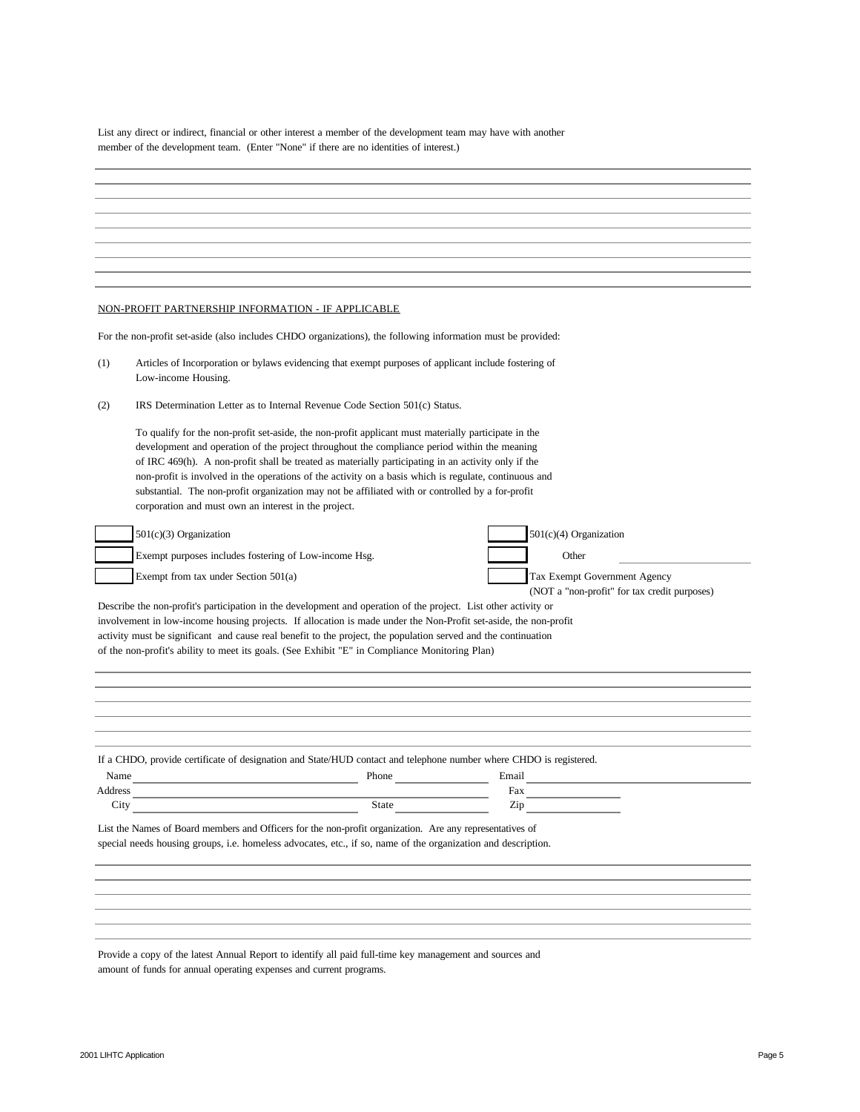List any direct or indirect, financial or other interest a member of the development team may have with another member of the development team. (Enter "None" if there are no identities of interest.)

|         | NON-PROFIT PARTNERSHIP INFORMATION - IF APPLICABLE                                                                                                                                                                                                                                                                                                                                                                                                                                                                                                                                |  |                                                                              |  |  |  |  |
|---------|-----------------------------------------------------------------------------------------------------------------------------------------------------------------------------------------------------------------------------------------------------------------------------------------------------------------------------------------------------------------------------------------------------------------------------------------------------------------------------------------------------------------------------------------------------------------------------------|--|------------------------------------------------------------------------------|--|--|--|--|
|         | For the non-profit set-aside (also includes CHDO organizations), the following information must be provided:                                                                                                                                                                                                                                                                                                                                                                                                                                                                      |  |                                                                              |  |  |  |  |
| (1)     | Articles of Incorporation or bylaws evidencing that exempt purposes of applicant include fostering of<br>Low-income Housing.                                                                                                                                                                                                                                                                                                                                                                                                                                                      |  |                                                                              |  |  |  |  |
| (2)     | IRS Determination Letter as to Internal Revenue Code Section $501(c)$ Status.                                                                                                                                                                                                                                                                                                                                                                                                                                                                                                     |  |                                                                              |  |  |  |  |
|         | To qualify for the non-profit set-aside, the non-profit applicant must materially participate in the<br>development and operation of the project throughout the compliance period within the meaning<br>of IRC 469(h). A non-profit shall be treated as materially participating in an activity only if the<br>non-profit is involved in the operations of the activity on a basis which is regulate, continuous and<br>substantial. The non-profit organization may not be affiliated with or controlled by a for-profit<br>corporation and must own an interest in the project. |  |                                                                              |  |  |  |  |
|         | $501(c)(3)$ Organization                                                                                                                                                                                                                                                                                                                                                                                                                                                                                                                                                          |  | $501(c)(4)$ Organization                                                     |  |  |  |  |
|         | Exempt purposes includes fostering of Low-income Hsg.                                                                                                                                                                                                                                                                                                                                                                                                                                                                                                                             |  | Other                                                                        |  |  |  |  |
|         |                                                                                                                                                                                                                                                                                                                                                                                                                                                                                                                                                                                   |  |                                                                              |  |  |  |  |
|         | Exempt from tax under Section $501(a)$                                                                                                                                                                                                                                                                                                                                                                                                                                                                                                                                            |  | Tax Exempt Government Agency<br>(NOT a "non-profit" for tax credit purposes) |  |  |  |  |
|         | Describe the non-profit's participation in the development and operation of the project. List other activity or<br>involvement in low-income housing projects. If allocation is made under the Non-Profit set-aside, the non-profit<br>activity must be significant and cause real benefit to the project, the population served and the continuation<br>of the non-profit's ability to meet its goals. (See Exhibit "E" in Compliance Monitoring Plan)                                                                                                                           |  |                                                                              |  |  |  |  |
|         |                                                                                                                                                                                                                                                                                                                                                                                                                                                                                                                                                                                   |  |                                                                              |  |  |  |  |
|         | If a CHDO, provide certificate of designation and State/HUD contact and telephone number where CHDO is registered.                                                                                                                                                                                                                                                                                                                                                                                                                                                                |  |                                                                              |  |  |  |  |
| Name    | Phone                                                                                                                                                                                                                                                                                                                                                                                                                                                                                                                                                                             |  | Email                                                                        |  |  |  |  |
| Address |                                                                                                                                                                                                                                                                                                                                                                                                                                                                                                                                                                                   |  | Fax                                                                          |  |  |  |  |
| City    | State                                                                                                                                                                                                                                                                                                                                                                                                                                                                                                                                                                             |  | Zip                                                                          |  |  |  |  |
|         | List the Names of Board members and Officers for the non-profit organization. Are any representatives of<br>special needs housing groups, i.e. homeless advocates, etc., if so, name of the organization and description.                                                                                                                                                                                                                                                                                                                                                         |  |                                                                              |  |  |  |  |
|         |                                                                                                                                                                                                                                                                                                                                                                                                                                                                                                                                                                                   |  |                                                                              |  |  |  |  |
|         |                                                                                                                                                                                                                                                                                                                                                                                                                                                                                                                                                                                   |  |                                                                              |  |  |  |  |
|         |                                                                                                                                                                                                                                                                                                                                                                                                                                                                                                                                                                                   |  |                                                                              |  |  |  |  |
|         |                                                                                                                                                                                                                                                                                                                                                                                                                                                                                                                                                                                   |  |                                                                              |  |  |  |  |

Provide a copy of the latest Annual Report to identify all paid full-time key management and sources and amount of funds for annual operating expenses and current programs.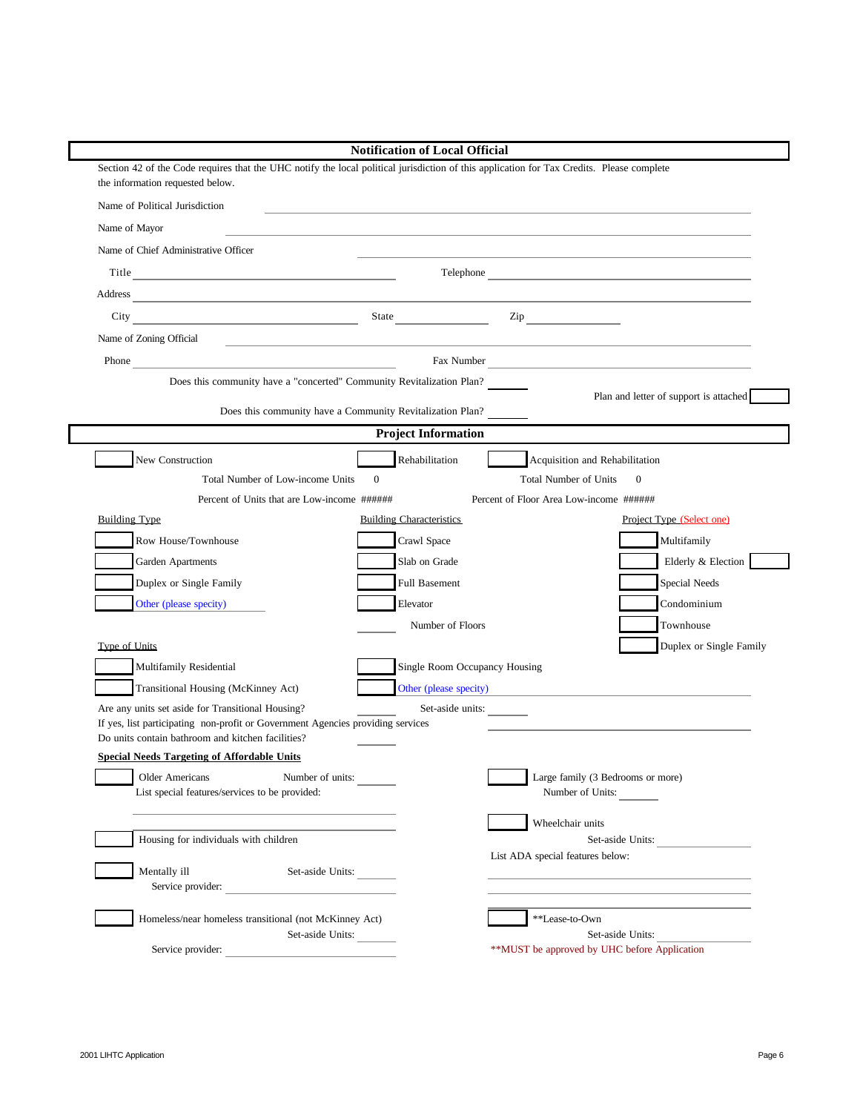|                                                                                                                                                                                                                                      |              | <b>Notification of Local Official</b> |                                                                                                                                                                                                                               |                                        |
|--------------------------------------------------------------------------------------------------------------------------------------------------------------------------------------------------------------------------------------|--------------|---------------------------------------|-------------------------------------------------------------------------------------------------------------------------------------------------------------------------------------------------------------------------------|----------------------------------------|
| Section 42 of the Code requires that the UHC notify the local political jurisdiction of this application for Tax Credits. Please complete<br>the information requested below.                                                        |              |                                       |                                                                                                                                                                                                                               |                                        |
| Name of Political Jurisdiction                                                                                                                                                                                                       |              |                                       | the control of the control of the control of the control of the control of the control of the control of the control of the control of the control of the control of the control of the control of the control of the control |                                        |
| Name of Mayor                                                                                                                                                                                                                        |              |                                       |                                                                                                                                                                                                                               |                                        |
| Name of Chief Administrative Officer                                                                                                                                                                                                 |              |                                       |                                                                                                                                                                                                                               |                                        |
| Title                                                                                                                                                                                                                                |              |                                       |                                                                                                                                                                                                                               | Telephone                              |
|                                                                                                                                                                                                                                      |              |                                       |                                                                                                                                                                                                                               |                                        |
|                                                                                                                                                                                                                                      |              |                                       |                                                                                                                                                                                                                               |                                        |
| Name of Zoning Official<br><u> 1989 - Johann Stoff, deutscher Stoffen und der Stoffen und der Stoffen und der Stoffen und der Stoffen und der</u>                                                                                    |              |                                       |                                                                                                                                                                                                                               |                                        |
| Phone <u>that is a series of the series of the series of the series of the series of the series of the series of the series of the series of the series of the series of the series of the series of the series of the series of</u> |              |                                       |                                                                                                                                                                                                                               | Fax Number                             |
| Does this community have a "concerted" Community Revitalization Plan?                                                                                                                                                                |              |                                       |                                                                                                                                                                                                                               |                                        |
| Does this community have a Community Revitalization Plan?                                                                                                                                                                            |              |                                       |                                                                                                                                                                                                                               | Plan and letter of support is attached |
|                                                                                                                                                                                                                                      |              | <b>Project Information</b>            |                                                                                                                                                                                                                               |                                        |
| New Construction                                                                                                                                                                                                                     |              | Rehabilitation                        | Acquisition and Rehabilitation                                                                                                                                                                                                |                                        |
| Total Number of Low-income Units                                                                                                                                                                                                     | $\mathbf{0}$ |                                       | <b>Total Number of Units</b>                                                                                                                                                                                                  | $\mathbf{0}$                           |
| Percent of Units that are Low-income ######                                                                                                                                                                                          |              |                                       | Percent of Floor Area Low-income ######                                                                                                                                                                                       |                                        |
| <b>Building Type</b>                                                                                                                                                                                                                 |              | <b>Building Characteristics</b>       |                                                                                                                                                                                                                               | Project Type (Select one)              |
| Row House/Townhouse                                                                                                                                                                                                                  |              | Crawl Space                           |                                                                                                                                                                                                                               | Multifamily                            |
| Garden Apartments                                                                                                                                                                                                                    |              | Slab on Grade                         |                                                                                                                                                                                                                               | Elderly & Election                     |
| Duplex or Single Family                                                                                                                                                                                                              |              | Full Basement                         |                                                                                                                                                                                                                               | Special Needs                          |
| Other (please specity)                                                                                                                                                                                                               |              | Elevator                              |                                                                                                                                                                                                                               | Condominium                            |
|                                                                                                                                                                                                                                      |              | Number of Floors                      |                                                                                                                                                                                                                               | Townhouse                              |
| Type of Units                                                                                                                                                                                                                        |              |                                       |                                                                                                                                                                                                                               | Duplex or Single Family                |
| Multifamily Residential                                                                                                                                                                                                              |              | Single Room Occupancy Housing         |                                                                                                                                                                                                                               |                                        |
| Transitional Housing (McKinney Act)                                                                                                                                                                                                  |              |                                       | Other (please specity)                                                                                                                                                                                                        |                                        |
| Are any units set aside for Transitional Housing?<br>If yes, list participating non-profit or Government Agencies providing services                                                                                                 |              | Set-aside units:                      |                                                                                                                                                                                                                               |                                        |
| Do units contain bathroom and kitchen facilities?                                                                                                                                                                                    |              |                                       |                                                                                                                                                                                                                               |                                        |
| <b>Special Needs Targeting of Affordable Units</b>                                                                                                                                                                                   |              |                                       |                                                                                                                                                                                                                               |                                        |
| Number of units:<br><b>Older Americans</b>                                                                                                                                                                                           |              |                                       | Large family (3 Bedrooms or more)                                                                                                                                                                                             |                                        |
| List special features/services to be provided:                                                                                                                                                                                       |              |                                       | Number of Units:                                                                                                                                                                                                              |                                        |
|                                                                                                                                                                                                                                      |              |                                       | Wheelchair units                                                                                                                                                                                                              |                                        |
| Housing for individuals with children                                                                                                                                                                                                |              |                                       |                                                                                                                                                                                                                               | Set-aside Units:                       |
| Mentally ill<br>Set-aside Units:                                                                                                                                                                                                     |              |                                       | List ADA special features below:                                                                                                                                                                                              |                                        |
| Service provider:                                                                                                                                                                                                                    |              |                                       |                                                                                                                                                                                                                               |                                        |
| Homeless/near homeless transitional (not McKinney Act)                                                                                                                                                                               |              |                                       | **Lease-to-Own                                                                                                                                                                                                                |                                        |
| Set-aside Units:                                                                                                                                                                                                                     |              |                                       |                                                                                                                                                                                                                               | Set-aside Units:                       |
| Service provider:                                                                                                                                                                                                                    |              |                                       | **MUST be approved by UHC before Application                                                                                                                                                                                  |                                        |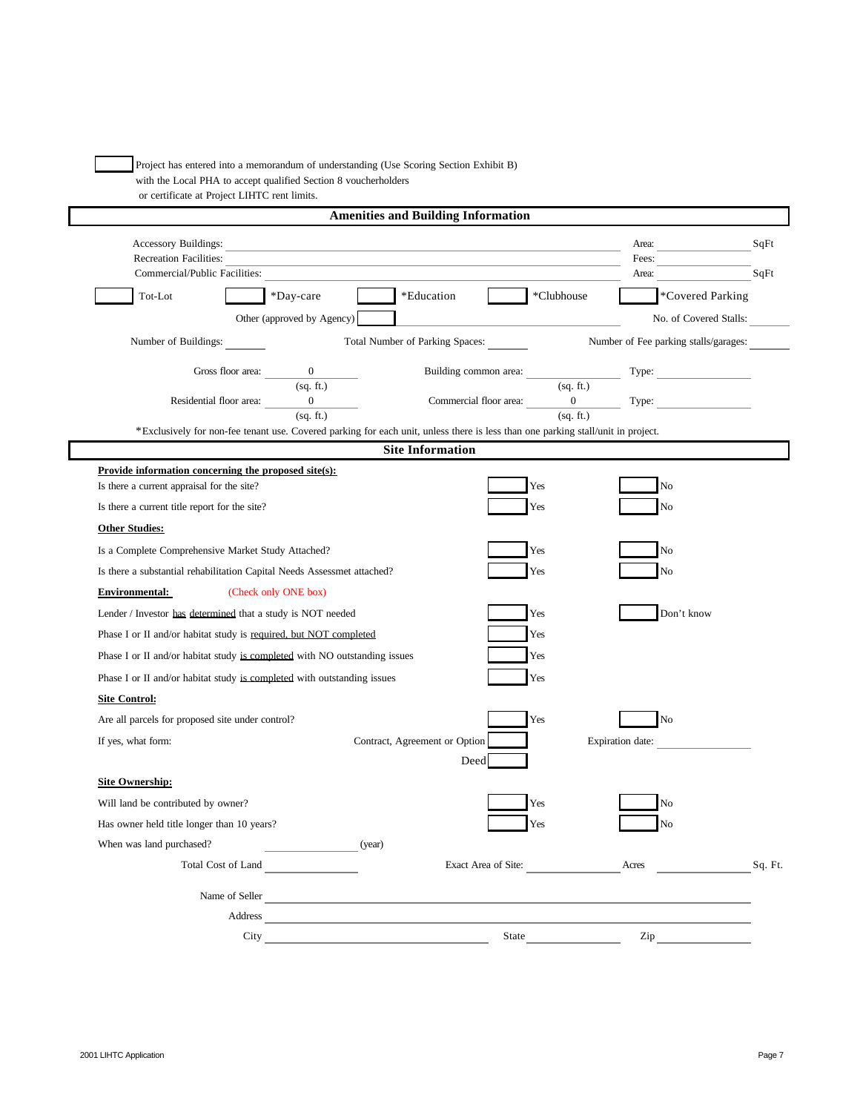Project has entered into a memorandum of understanding (Use Scoring Section Exhibit B) with the Local PHA to accept qualified Section 8 voucherholders or certificate at Project LIHTC rent limits.

|                                                  |                                                                                                                                  | <b>Amenities and Building Information</b> |                                              |              |                     |       |                                                                                                                                                                                                                                |         |
|--------------------------------------------------|----------------------------------------------------------------------------------------------------------------------------------|-------------------------------------------|----------------------------------------------|--------------|---------------------|-------|--------------------------------------------------------------------------------------------------------------------------------------------------------------------------------------------------------------------------------|---------|
| <b>Accessory Buildings:</b>                      |                                                                                                                                  |                                           |                                              |              |                     | Area: |                                                                                                                                                                                                                                | SqFt    |
| Recreation Facilities:                           |                                                                                                                                  |                                           |                                              |              |                     | Fees: |                                                                                                                                                                                                                                |         |
| Commercial/Public Facilities:                    |                                                                                                                                  |                                           |                                              |              |                     | Area: |                                                                                                                                                                                                                                | SqFt    |
| Tot-Lot                                          | *Day-care                                                                                                                        |                                           | *Education                                   |              | *Clubhouse          |       | <i>*Covered Parking</i>                                                                                                                                                                                                        |         |
|                                                  | Other (approved by Agency)                                                                                                       |                                           |                                              |              |                     |       | No. of Covered Stalls:                                                                                                                                                                                                         |         |
| Number of Buildings:                             |                                                                                                                                  |                                           | Total Number of Parking Spaces:              |              |                     |       | Number of Fee parking stalls/garages:                                                                                                                                                                                          |         |
|                                                  | Gross floor area: $\frac{0}{\text{(sq. ft.)}}$                                                                                   |                                           |                                              |              |                     |       | Building common area: Type: Type: Type: Type: Type: Type: Type: Type: Type: Type: Type: Type: Type: Type: Type: Type: Type: Type: Type: Type: Type: Type: Type: Type: Type: Type: Type: Type: Type: Type: Type: Type: Type: Ty |         |
|                                                  |                                                                                                                                  |                                           |                                              |              | (sq. ft.)           |       |                                                                                                                                                                                                                                |         |
|                                                  | Residential floor area: $\frac{0}{(sq. ft.)}$                                                                                    |                                           | Commercial floor area: $\frac{0}{(sq. ft.)}$ |              |                     |       |                                                                                                                                                                                                                                |         |
|                                                  | *Exclusively for non-fee tenant use. Covered parking for each unit, unless there is less than one parking stall/unit in project. |                                           |                                              |              |                     |       |                                                                                                                                                                                                                                |         |
|                                                  |                                                                                                                                  |                                           | <b>Site Information</b>                      |              |                     |       |                                                                                                                                                                                                                                |         |
|                                                  | Provide information concerning the proposed site(s):                                                                             |                                           |                                              |              |                     |       |                                                                                                                                                                                                                                |         |
| Is there a current appraisal for the site?       |                                                                                                                                  |                                           |                                              | Yes          |                     |       | No                                                                                                                                                                                                                             |         |
| Is there a current title report for the site?    |                                                                                                                                  |                                           |                                              | Yes          |                     |       | N <sub>o</sub>                                                                                                                                                                                                                 |         |
| <b>Other Studies:</b>                            |                                                                                                                                  |                                           |                                              |              |                     |       |                                                                                                                                                                                                                                |         |
|                                                  | Is a Complete Comprehensive Market Study Attached?                                                                               |                                           |                                              | Yes          |                     |       | No                                                                                                                                                                                                                             |         |
|                                                  | Is there a substantial rehabilitation Capital Needs Assessmet attached?                                                          |                                           |                                              | Yes          |                     |       | N <sub>o</sub>                                                                                                                                                                                                                 |         |
| <b>Environmental:</b>                            | (Check only ONE box)                                                                                                             |                                           |                                              |              |                     |       |                                                                                                                                                                                                                                |         |
|                                                  | Lender / Investor has determined that a study is NOT needed                                                                      |                                           |                                              | Yes          |                     |       | Don't know                                                                                                                                                                                                                     |         |
|                                                  | Phase I or II and/or habitat study is required, but NOT completed                                                                |                                           |                                              | Yes          |                     |       |                                                                                                                                                                                                                                |         |
|                                                  | Phase I or II and/or habitat study is completed with NO outstanding issues                                                       |                                           |                                              | Yes          |                     |       |                                                                                                                                                                                                                                |         |
|                                                  | Phase I or II and/or habitat study is completed with outstanding issues                                                          |                                           |                                              | Yes          |                     |       |                                                                                                                                                                                                                                |         |
| <b>Site Control:</b>                             |                                                                                                                                  |                                           |                                              |              |                     |       |                                                                                                                                                                                                                                |         |
| Are all parcels for proposed site under control? |                                                                                                                                  |                                           |                                              | Yes          |                     |       | $\rm No$                                                                                                                                                                                                                       |         |
| If yes, what form:                               |                                                                                                                                  |                                           | Contract, Agreement or Option                |              |                     |       | Expiration date:                                                                                                                                                                                                               |         |
|                                                  |                                                                                                                                  |                                           | Deed                                         |              |                     |       |                                                                                                                                                                                                                                |         |
| <b>Site Ownership:</b>                           |                                                                                                                                  |                                           |                                              |              |                     |       |                                                                                                                                                                                                                                |         |
| Will land be contributed by owner?               |                                                                                                                                  |                                           |                                              | Yes          |                     |       | N <sub>o</sub>                                                                                                                                                                                                                 |         |
| Has owner held title longer than 10 years?       |                                                                                                                                  |                                           |                                              | Yes          |                     |       | No                                                                                                                                                                                                                             |         |
| When was land purchased?                         | <u>and the state of the state</u>                                                                                                | (year)                                    |                                              |              |                     |       |                                                                                                                                                                                                                                |         |
|                                                  | Total Cost of Land                                                                                                               |                                           |                                              |              | Exact Area of Site: | Acres |                                                                                                                                                                                                                                | Sq. Ft. |
|                                                  | Name of Seller                                                                                                                   |                                           |                                              |              |                     |       |                                                                                                                                                                                                                                |         |
|                                                  | Address                                                                                                                          |                                           |                                              |              |                     |       |                                                                                                                                                                                                                                |         |
|                                                  | City                                                                                                                             |                                           |                                              | <b>State</b> |                     | Zip   |                                                                                                                                                                                                                                |         |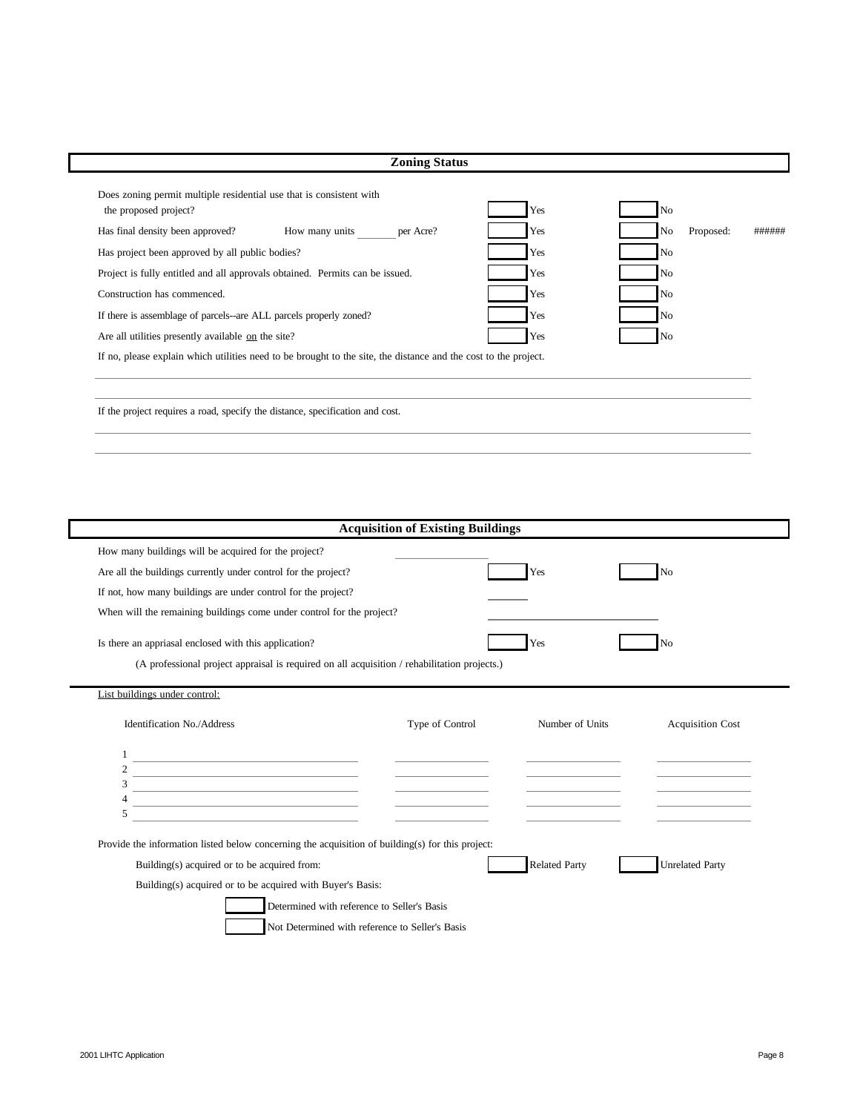| Does zoning permit multiple residential use that is consistent with<br>the proposed project?                    | Yes | N <sub>o</sub>  |        |
|-----------------------------------------------------------------------------------------------------------------|-----|-----------------|--------|
| How many units<br>Has final density been approved?<br>per Acre?                                                 | Yes | No<br>Proposed: | ###### |
| Has project been approved by all public bodies?                                                                 | Yes | N <sub>o</sub>  |        |
| Project is fully entitled and all approvals obtained. Permits can be issued.                                    | Yes | N <sub>o</sub>  |        |
| Construction has commenced.                                                                                     | Yes | N <sub>o</sub>  |        |
| If there is assemblage of parcels--are ALL parcels properly zoned?                                              | Yes | N <sub>0</sub>  |        |
| Are all utilities presently available on the site?                                                              | Yes | N <sub>o</sub>  |        |
| If no, please explain which utilities need to be brought to the site, the distance and the cost to the project. |     |                 |        |
|                                                                                                                 |     |                 |        |

| <b>Acquisition of Existing Buildings</b>                                                         |                 |                      |                         |  |  |  |
|--------------------------------------------------------------------------------------------------|-----------------|----------------------|-------------------------|--|--|--|
| How many buildings will be acquired for the project?                                             |                 |                      |                         |  |  |  |
| Are all the buildings currently under control for the project?                                   |                 | Yes                  | No                      |  |  |  |
| If not, how many buildings are under control for the project?                                    |                 |                      |                         |  |  |  |
| When will the remaining buildings come under control for the project?                            |                 |                      |                         |  |  |  |
| Is there an appriasal enclosed with this application?                                            |                 | Yes                  | No                      |  |  |  |
| (A professional project appraisal is required on all acquisition / rehabilitation projects.)     |                 |                      |                         |  |  |  |
| List buildings under control:                                                                    |                 |                      |                         |  |  |  |
| <b>Identification No./Address</b>                                                                | Type of Control | Number of Units      | <b>Acquisition Cost</b> |  |  |  |
| <u> 1980 - Johann Barbara, martxa alemaniar arg</u>                                              |                 |                      |                         |  |  |  |
| <u> 1989 - Johann Barn, amerikansk politiker (</u>                                               |                 |                      |                         |  |  |  |
| 3<br>4<br><u> 1989 - Johann Barbara, martxa alemaniar amerikan personal (h. 1989).</u>           |                 |                      |                         |  |  |  |
| 5                                                                                                |                 |                      |                         |  |  |  |
| Provide the information listed below concerning the acquisition of building(s) for this project: |                 |                      |                         |  |  |  |
| Building(s) acquired or to be acquired from:                                                     |                 | <b>Related Party</b> | <b>Unrelated Party</b>  |  |  |  |
| Building(s) acquired or to be acquired with Buyer's Basis:                                       |                 |                      |                         |  |  |  |
| Determined with reference to Seller's Basis                                                      |                 |                      |                         |  |  |  |
| Not Determined with reference to Seller's Basis                                                  |                 |                      |                         |  |  |  |
|                                                                                                  |                 |                      |                         |  |  |  |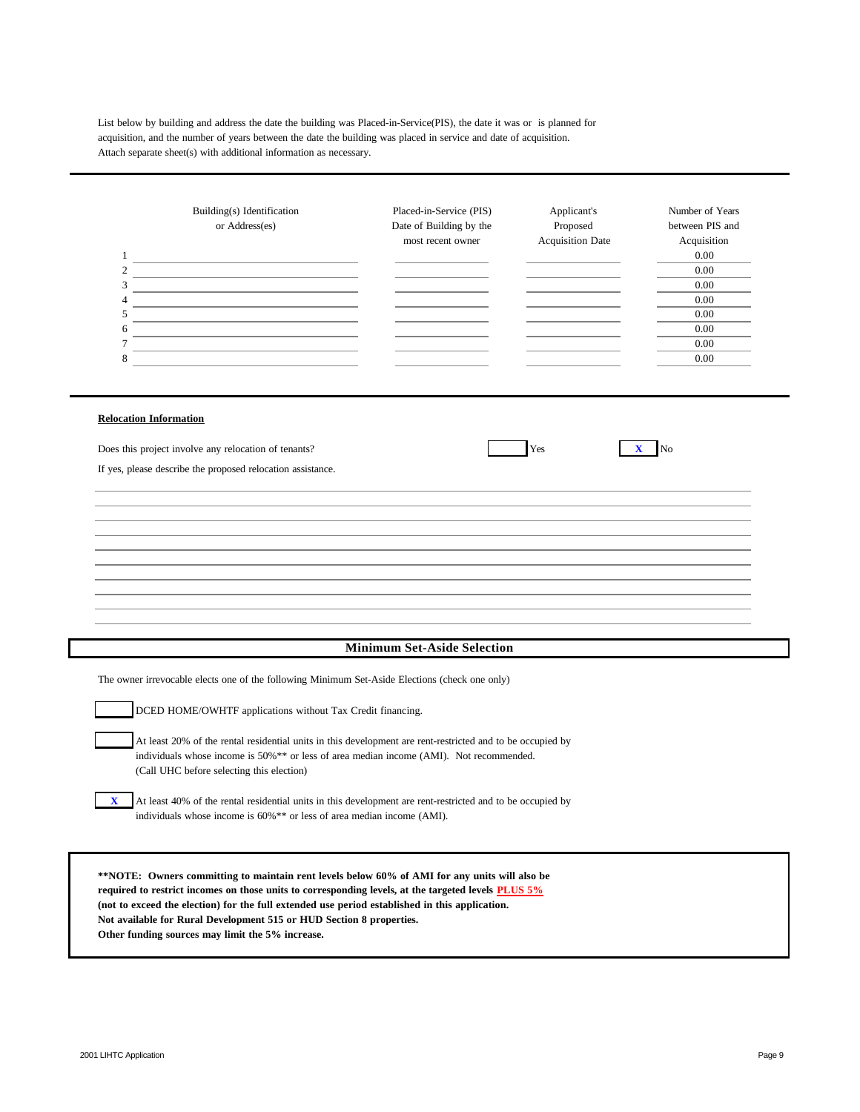List below by building and address the date the building was Placed-in-Service(PIS), the date it was or is planned for acquisition, and the number of years between the date the building was placed in service and date of acquisition. Attach separate sheet(s) with additional information as necessary.

|   | Building(s) Identification<br>or Address(es) | Placed-in-Service (PIS)<br>Date of Building by the | Applicant's<br>Proposed | Number of Years<br>between PIS and |
|---|----------------------------------------------|----------------------------------------------------|-------------------------|------------------------------------|
|   |                                              | most recent owner                                  | <b>Acquisition Date</b> | Acquisition                        |
|   |                                              |                                                    |                         | $0.00\,$                           |
| 2 |                                              |                                                    |                         | 0.00                               |
|   |                                              |                                                    |                         | 0.00                               |
| 4 |                                              |                                                    |                         | 0.00                               |
|   |                                              |                                                    |                         | 0.00                               |
| 6 |                                              |                                                    |                         | 0.00                               |
|   |                                              |                                                    |                         | 0.00                               |
|   |                                              |                                                    |                         | 0.00                               |
|   |                                              |                                                    |                         |                                    |

#### **Relocation Information**

Does this project involve any relocation of tenants? Yes **X** No

If yes, please describe the proposed relocation assistance.

### **Minimum Set-Aside Selection**

The owner irrevocable elects one of the following Minimum Set-Aside Elections (check one only)

DCED HOME/OWHTF applications without Tax Credit financing.

At least 20% of the rental residential units in this development are rent-restricted and to be occupied by individuals whose income is 50%\*\* or less of area median income (AMI). Not recommended. (Call UHC before selecting this election)

**X** At least 40% of the rental residential units in this development are rent-restricted and to be occupied by individuals whose income is 60%\*\* or less of area median income (AMI).

**\*\*NOTE: Owners committing to maintain rent levels below 60% of AMI for any units will also be required to restrict incomes on those units to corresponding levels, at the targeted levels PLUS 5% (not to exceed the election) for the full extended use period established in this application. Not available for Rural Development 515 or HUD Section 8 properties. Other funding sources may limit the 5% increase.**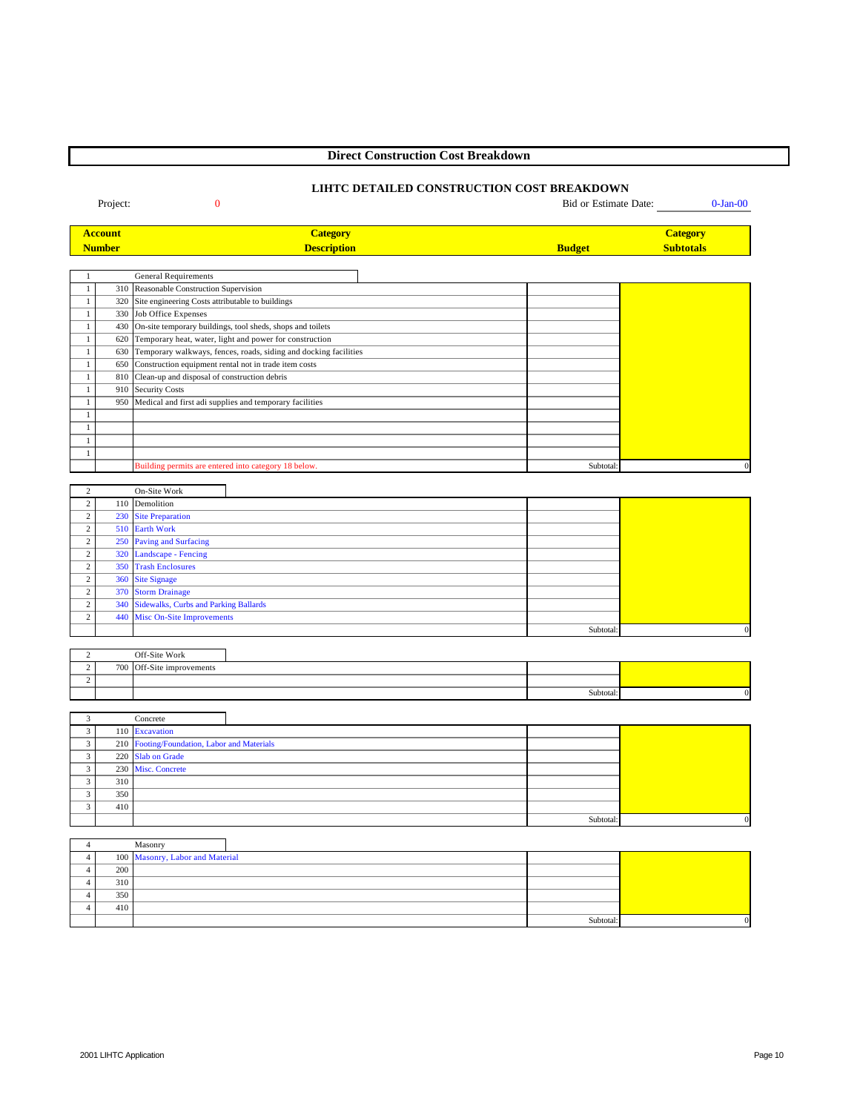# **Direct Construction Cost Breakdown**

# **LIHTC DETAILED CONSTRUCTION COST BREAKDOWN**

Project: 0 Bid or Estimate Date: 0-Jan-00

| <b>Account</b> | <b><i><u>Lategory</u></i></b> |               | <mark>Category</mark> |
|----------------|-------------------------------|---------------|-----------------------|
| Number         | <b>Description</b>            | <b>Budget</b> | <b>Subtotals</b>      |
|                |                               |               |                       |

|     | <b>General Requirements</b>                                      |           |  |
|-----|------------------------------------------------------------------|-----------|--|
|     | 310 Reasonable Construction Supervision                          |           |  |
| 320 | Site engineering Costs attributable to buildings                 |           |  |
| 330 | Job Office Expenses                                              |           |  |
| 430 | On-site temporary buildings, tool sheds, shops and toilets       |           |  |
| 620 | Temporary heat, water, light and power for construction          |           |  |
| 630 | Temporary walkways, fences, roads, siding and docking facilities |           |  |
| 650 | Construction equipment rental not in trade item costs            |           |  |
| 810 | Clean-up and disposal of construction debris                     |           |  |
| 910 | <b>Security Costs</b>                                            |           |  |
| 950 | Medical and first adi supplies and temporary facilities          |           |  |
|     |                                                                  |           |  |
|     |                                                                  |           |  |
|     |                                                                  |           |  |
|     |                                                                  |           |  |
|     | Building permits are entered into category 18 below.             | Subtotal: |  |

|        | On-Site Work                              |           |              |
|--------|-------------------------------------------|-----------|--------------|
|        | 110 Demolition                            |           |              |
| $\sim$ | 230 Site Preparation                      |           |              |
| $\sim$ | 510 Earth Work                            |           |              |
| $\sim$ | 250 Paving and Surfacing                  |           |              |
| $\sim$ | 320 Landscape - Fencing                   |           |              |
| $\sim$ | 350 Trash Enclosures                      |           |              |
|        | 360 Site Signage                          |           |              |
| $\sim$ | 370 Storm Drainage                        |           |              |
| $\sim$ | 340 Sidewalks, Curbs and Parking Ballards |           |              |
|        | 440 Misc On-Site Improvements             |           |              |
|        |                                           | Subtotal: | $\mathbf{0}$ |

|     | Off-Site Work         |           |  |
|-----|-----------------------|-----------|--|
| 700 | Off-Site improvements |           |  |
|     |                       |           |  |
|     |                       | Subtotal: |  |

|     | Concrete                                    |           |          |
|-----|---------------------------------------------|-----------|----------|
|     | 110 Excavation                              |           |          |
|     | 210 Footing/Foundation, Labor and Materials |           |          |
|     | 220 Slab on Grade                           |           |          |
|     | 230 Misc. Concrete                          |           |          |
| 310 |                                             |           |          |
| 350 |                                             |           |          |
| 410 |                                             |           |          |
|     |                                             | Subtotal: | $\Omega$ |

|     | Masonry                         |          |  |
|-----|---------------------------------|----------|--|
|     | 100 Masonry, Labor and Material |          |  |
| 200 |                                 |          |  |
| 310 |                                 |          |  |
| 350 |                                 |          |  |
| 410 |                                 |          |  |
|     |                                 | Subtotal |  |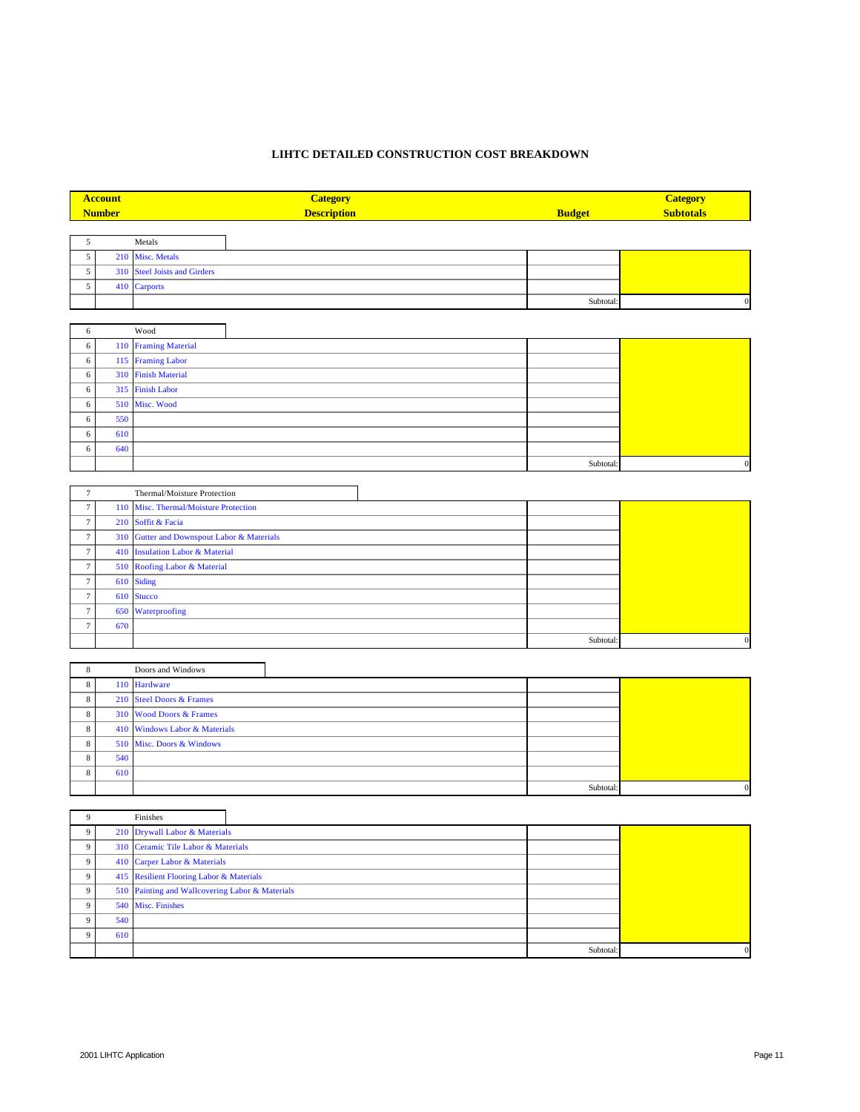# **LIHTC DETAILED CONSTRUCTION COST BREAKDOWN**

|                 | <b>Account</b><br><b>Number</b> | <b>Category</b><br><b>Description</b>  | <b>Budget</b> | <b>Category</b><br><b>Subtotals</b> |
|-----------------|---------------------------------|----------------------------------------|---------------|-------------------------------------|
|                 |                                 |                                        |               |                                     |
| $\mathfrak{S}$  |                                 | Metals                                 |               |                                     |
| 5               | 210                             | Misc. Metals                           |               |                                     |
| 5               | 310                             | <b>Steel Joists and Girders</b>        |               |                                     |
| 5               | 410                             | Carports                               |               |                                     |
|                 |                                 |                                        | Subtotal:     | $\boldsymbol{0}$                    |
|                 |                                 |                                        |               |                                     |
| 6               |                                 | Wood                                   |               |                                     |
| $\sqrt{6}$      | 110                             | <b>Framing Material</b>                |               |                                     |
| 6               |                                 | 115 Framing Labor                      |               |                                     |
| 6               | 310                             | <b>Finish Material</b>                 |               |                                     |
| 6               | 315                             | <b>Finish Labor</b>                    |               |                                     |
| 6               | 510                             | Misc. Wood                             |               |                                     |
| 6               | 550                             |                                        |               |                                     |
| 6               | 610                             |                                        |               |                                     |
| 6               | 640                             |                                        |               |                                     |
|                 |                                 |                                        | Subtotal:     | $\boldsymbol{0}$                    |
|                 |                                 |                                        |               |                                     |
| $\tau$          |                                 | Thermal/Moisture Protection            |               |                                     |
| $7\phantom{.0}$ | 110                             | Misc. Thermal/Moisture Protection      |               |                                     |
| $\tau$          | 210                             | Soffit & Facia                         |               |                                     |
| $\tau$          | 310                             | Gutter and Downspout Labor & Materials |               |                                     |
| $\tau$          |                                 | 410 Insulation Labor & Material        |               |                                     |
| $7\phantom{.0}$ | 510                             | Roofing Labor & Material               |               |                                     |
| $\tau$          | 610                             | Siding                                 |               |                                     |
| $7\phantom{.0}$ | 610                             | <b>Stucco</b>                          |               |                                     |
| $\tau$          | 650                             | Waterproofing                          |               |                                     |
| $7\phantom{.0}$ | 670                             |                                        |               |                                     |
|                 |                                 |                                        | Subtotal:     | $\boldsymbol{0}$                    |
|                 |                                 |                                        |               |                                     |
| 8               |                                 | Doors and Windows                      |               |                                     |

|              |     | 110 Hardware                  |          |  |
|--------------|-----|-------------------------------|----------|--|
| 8            |     | 210 Steel Doors & Frames      |          |  |
| $\mathbf{R}$ |     | 310 Wood Doors & Frames       |          |  |
| ð.           |     | 410 Windows Labor & Materials |          |  |
| 8            |     | 510 Misc. Doors & Windows     |          |  |
|              | 540 |                               |          |  |
|              | 610 |                               |          |  |
|              |     |                               | Subtotal |  |

|                |     | Finishes                                        |           |          |
|----------------|-----|-------------------------------------------------|-----------|----------|
| 9              |     | 210 Drywall Labor & Materials                   |           |          |
| $\overline{9}$ |     | 310 Ceramic Tile Labor & Materials              |           |          |
| $\overline{9}$ |     | 410 Carper Labor & Materials                    |           |          |
| 9 <sup>1</sup> |     | 415 Resilient Flooring Labor & Materials        |           |          |
| $\overline{9}$ |     | 510 Painting and Wallcovering Labor & Materials |           |          |
| Q              |     | 540 Misc. Finishes                              |           |          |
| $\Omega$       | 540 |                                                 |           |          |
| $\Omega$       | 610 |                                                 |           |          |
|                |     |                                                 | Subtotal: | $\Omega$ |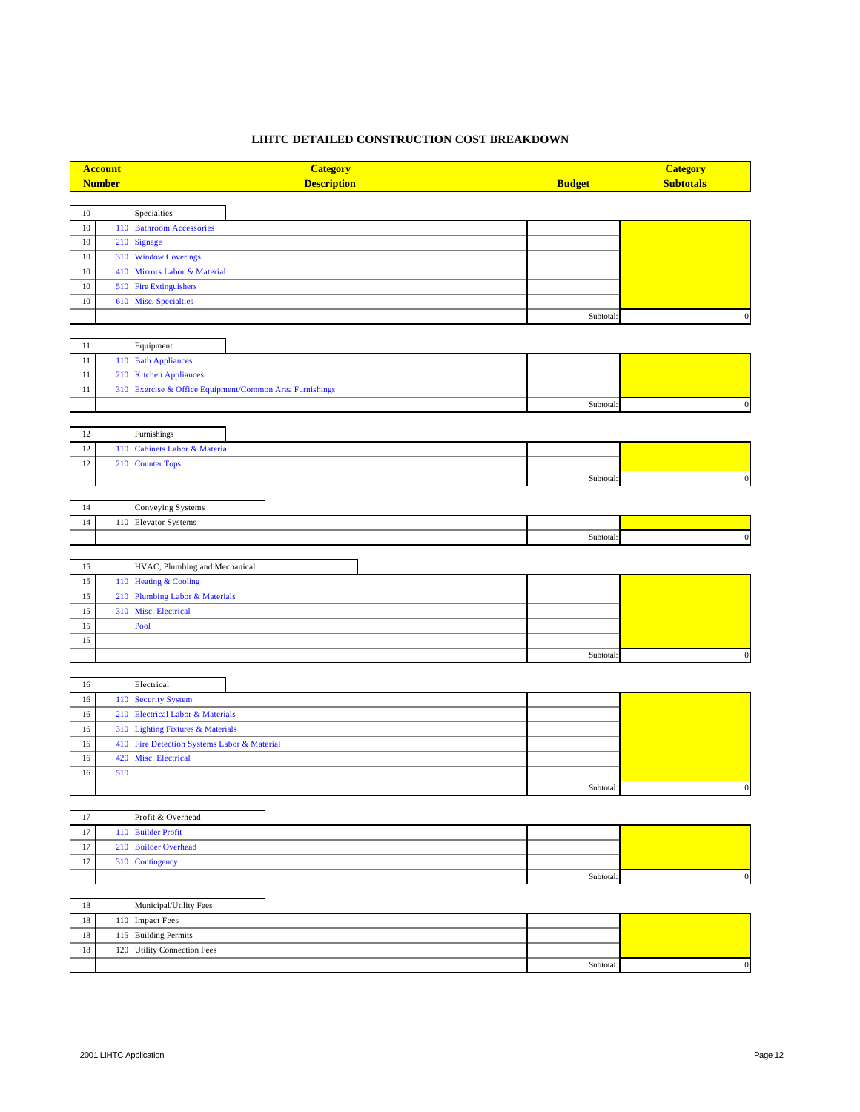# **LIHTC DETAILED CONSTRUCTION COST BREAKDOWN**

| <b>Account</b> |               | <b>Category</b>                                     |               | <b>Category</b>  |
|----------------|---------------|-----------------------------------------------------|---------------|------------------|
|                | <b>Number</b> | <b>Description</b>                                  | <b>Budget</b> | <b>Subtotals</b> |
|                |               |                                                     |               |                  |
| 10             |               | ${\bf Specialities}$                                |               |                  |
| $10\,$         | 110           | <b>Bathroom Accessories</b>                         |               |                  |
| $10\,$         | 210           | Signage                                             |               |                  |
| $10\,$         | 310           | <b>Window Coverings</b>                             |               |                  |
| $10\,$         | 410           | Mirrors Labor & Material                            |               |                  |
| $10\,$         | 510           | <b>Fire Extinguishers</b>                           |               |                  |
| $10\,$         | 610           | Misc. Specialties                                   |               |                  |
|                |               |                                                     | Subtotal:     | $\boldsymbol{0}$ |
|                |               |                                                     |               |                  |
| $11\,$         |               | Equipment                                           |               |                  |
| $11\,$         | 110           | <b>Bath Appliances</b>                              |               |                  |
| $11\,$         | 210           | <b>Kitchen Appliances</b>                           |               |                  |
| $11\,$         | 310           | Exercise & Office Equipment/Common Area Furnishings |               |                  |
|                |               |                                                     | Subtotal:     | $\mathbf{0}$     |
|                |               |                                                     |               |                  |
| $12\,$         |               | Furnishings                                         |               |                  |
| $12\,$         | 110           | <b>Cabinets Labor &amp; Material</b>                |               |                  |
| 12             | 210           | <b>Counter Tops</b>                                 |               |                  |
|                |               |                                                     | Subtotal:     | $\boldsymbol{0}$ |
|                |               |                                                     |               |                  |
| 14             |               | Conveying Systems                                   |               |                  |
| 14             | 110           | <b>Elevator Systems</b>                             |               |                  |
|                |               |                                                     | Subtotal:     | $\boldsymbol{0}$ |
|                |               |                                                     |               |                  |
| 15             |               | HVAC, Plumbing and Mechanical                       |               |                  |
| 15             | 110           | <b>Heating &amp; Cooling</b>                        |               |                  |
| 15             | 210           | Plumbing Labor & Materials                          |               |                  |
| 15             |               |                                                     |               |                  |
|                | 310           | Misc. Electrical                                    |               |                  |
| 15             |               | Pool                                                |               |                  |
| 15             |               |                                                     |               |                  |
|                |               |                                                     | Subtotal:     | $\mathbf{0}$     |
|                |               |                                                     |               |                  |
| 16             |               | Electrical                                          |               |                  |
| $16\,$         | 110           | <b>Security System</b>                              |               |                  |
| 16             | 210           | Electrical Labor & Materials                        |               |                  |
| 16             | 310           | <b>Lighting Fixtures &amp; Materials</b>            |               |                  |
| 16             | 410           | Fire Detection Systems Labor & Material             |               |                  |
| 16             | 420           | Misc. Electrical                                    |               |                  |
| 16             | 510           |                                                     |               |                  |
|                |               |                                                     | Subtotal:     | $\mathbf{0}$     |
|                |               |                                                     |               |                  |
| 17             |               | Profit & Overhead                                   |               |                  |
| $17\,$         | 110           | <b>Builder Profit</b>                               |               |                  |
| $17\,$         | 210           | <b>Builder Overhead</b>                             |               |                  |
| 17             | 310           | Contingency                                         |               |                  |
|                |               |                                                     | Subtotal:     | $\boldsymbol{0}$ |
|                |               |                                                     |               |                  |
| $18\,$         |               | Municipal/Utility Fees                              |               |                  |
| $18\,$         |               | 110 Impact Fees                                     |               |                  |
| $18\,$         | 115           | <b>Building Permits</b>                             |               |                  |
| $18\,$         | 120           | <b>Utility Connection Fees</b>                      |               |                  |
|                |               |                                                     | Subtotal:     | $\boldsymbol{0}$ |
|                |               |                                                     |               |                  |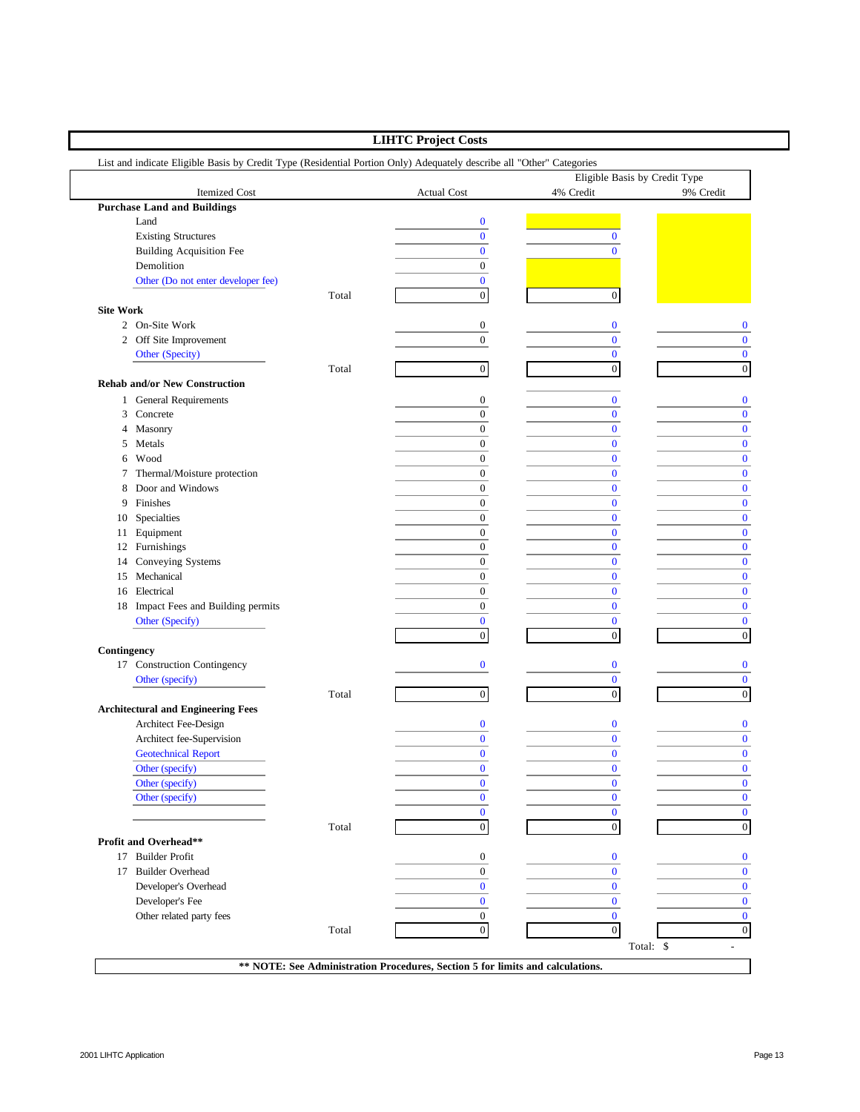|                  |                                                                                                                       |       | <b>LIHTC Project Costs</b> |                                            |                  |
|------------------|-----------------------------------------------------------------------------------------------------------------------|-------|----------------------------|--------------------------------------------|------------------|
|                  | List and indicate Eligible Basis by Credit Type (Residential Portion Only) Adequately describe all "Other" Categories |       |                            |                                            |                  |
|                  | Itemized Cost                                                                                                         |       | <b>Actual Cost</b>         | Eligible Basis by Credit Type<br>4% Credit | 9% Credit        |
|                  | <b>Purchase Land and Buildings</b>                                                                                    |       |                            |                                            |                  |
|                  | Land                                                                                                                  |       | $\bf{0}$                   |                                            |                  |
|                  | <b>Existing Structures</b>                                                                                            |       | $\overline{0}$             | $\bf{0}$                                   |                  |
|                  | <b>Building Acquisition Fee</b>                                                                                       |       | $\bf{0}$                   | $\mathbf{0}$                               |                  |
|                  | Demolition                                                                                                            |       | $\mathbf{0}$               |                                            |                  |
|                  | Other (Do not enter developer fee)                                                                                    |       | $\bf{0}$                   |                                            |                  |
|                  |                                                                                                                       | Total | $\boldsymbol{0}$           | $\boldsymbol{0}$                           |                  |
| <b>Site Work</b> |                                                                                                                       |       |                            |                                            |                  |
|                  | 2 On-Site Work                                                                                                        |       | 0                          | $\bf{0}$                                   | 0                |
|                  | 2 Off Site Improvement                                                                                                |       | $\overline{0}$             | $\bf{0}$                                   | $\mathbf{0}$     |
|                  | Other (Specity)                                                                                                       |       |                            | $\bf{0}$                                   | $\bf{0}$         |
|                  |                                                                                                                       | Total | $\boldsymbol{0}$           | $\boldsymbol{0}$                           | $\boldsymbol{0}$ |
|                  | <b>Rehab and/or New Construction</b>                                                                                  |       |                            |                                            |                  |
|                  | 1 General Requirements                                                                                                |       | $\boldsymbol{0}$           | $\bf{0}$                                   | $\bf{0}$         |
|                  | 3 Concrete                                                                                                            |       | $\boldsymbol{0}$           | $\bf{0}$                                   | $\mathbf{0}$     |
|                  | 4 Masonry                                                                                                             |       | $\boldsymbol{0}$           | $\bf{0}$                                   | $\bf{0}$         |
| 5                | Metals                                                                                                                |       | $\boldsymbol{0}$           | $\bf{0}$                                   | $\bf{0}$         |
|                  | 6 Wood                                                                                                                |       | $\boldsymbol{0}$           | $\bf{0}$                                   | $\mathbf{0}$     |
| 7                | Thermal/Moisture protection                                                                                           |       | $\boldsymbol{0}$           | $\bf{0}$                                   | $\mathbf{0}$     |
| 8                | Door and Windows                                                                                                      |       | $\boldsymbol{0}$           | $\bf{0}$                                   | $\bf{0}$         |
| 9                | Finishes                                                                                                              |       | $\boldsymbol{0}$           | $\bf{0}$                                   | $\bf{0}$         |
| 10               | Specialties                                                                                                           |       | $\boldsymbol{0}$           | $\bf{0}$                                   | $\mathbf{0}$     |
|                  | 11 Equipment                                                                                                          |       | $\boldsymbol{0}$           | $\bf{0}$                                   | $\bf{0}$         |
|                  | 12 Furnishings                                                                                                        |       | $\boldsymbol{0}$           | $\bf{0}$                                   | $\bf{0}$         |
| 14               | Conveying Systems                                                                                                     |       | $\boldsymbol{0}$           | $\bf{0}$                                   | $\mathbf{0}$     |
|                  | 15 Mechanical                                                                                                         |       | $\boldsymbol{0}$           | $\bf{0}$                                   | $\mathbf{0}$     |
| 16               | Electrical                                                                                                            |       | $\boldsymbol{0}$           | $\bf{0}$                                   | $\bf{0}$         |
|                  | 18 Impact Fees and Building permits                                                                                   |       | $\boldsymbol{0}$           | $\bf{0}$                                   | $\bf{0}$         |
|                  | Other (Specify)                                                                                                       |       | $\mathbf{0}$               | $\bf{0}$                                   | $\mathbf{0}$     |
|                  |                                                                                                                       |       | $\boldsymbol{0}$           | $\boldsymbol{0}$                           | $\boldsymbol{0}$ |
| Contingency      |                                                                                                                       |       |                            |                                            |                  |
|                  | 17 Construction Contingency                                                                                           |       | $\bf{0}$                   | $\bf{0}$                                   | $\mathbf{0}$     |
|                  | Other (specify)                                                                                                       |       |                            | $\bf{0}$                                   | $\mathbf{0}$     |
|                  |                                                                                                                       | Total | $\boldsymbol{0}$           | $\boldsymbol{0}$                           | $\mathbf{0}$     |
|                  | <b>Architectural and Engineering Fees</b>                                                                             |       |                            |                                            |                  |
|                  | Architect Fee-Design                                                                                                  |       | $\bf{0}$                   | $\bf{0}$                                   | $\mathbf{0}$     |
|                  | Architect fee-Supervision                                                                                             |       | $\bf{0}$                   | $\bf{0}$                                   | $\bf{0}$         |
|                  | <b>Geotechnical Report</b>                                                                                            |       | $\Omega$                   | $\mathbf{0}$                               | $\mathbf{0}$     |
|                  | Other (specify)                                                                                                       |       | $\bf{0}$                   | $\bf{0}$                                   | $\bf{0}$         |
|                  | Other (specify)                                                                                                       |       | $\bf{0}$                   | $\bf{0}$                                   | $\overline{0}$   |
|                  | Other (specify)                                                                                                       |       | $\bf{0}$                   | $\bf{0}$                                   | $\mathbf{0}$     |
|                  |                                                                                                                       |       | $\mathbf{0}$               | $\bf{0}$                                   | $\mathbf{0}$     |
|                  |                                                                                                                       | Total | $\boldsymbol{0}$           | $\boldsymbol{0}$                           | $\boldsymbol{0}$ |
|                  | Profit and Overhead**                                                                                                 |       |                            |                                            |                  |
|                  | 17 Builder Profit                                                                                                     |       | 0                          | $\bf{0}$                                   | $\bf{0}$         |
|                  | 17 Builder Overhead                                                                                                   |       | $\overline{0}$             | $\mathbf{0}$                               | $\mathbf{0}$     |
|                  | Developer's Overhead                                                                                                  |       | $\mathbf{0}$               | $\bf{0}$                                   | $\overline{0}$   |
|                  | Developer's Fee                                                                                                       |       | $\bf{0}$                   | $\bf{0}$                                   | $\mathbf{0}$     |
|                  | Other related party fees                                                                                              |       | $\boldsymbol{0}$           | $\mathbf{0}$                               | $\mathbf{0}$     |
|                  |                                                                                                                       | Total | $\boldsymbol{0}$           | $\boldsymbol{0}$                           | $\mathbf{0}$     |
|                  |                                                                                                                       |       |                            | Total: \$                                  |                  |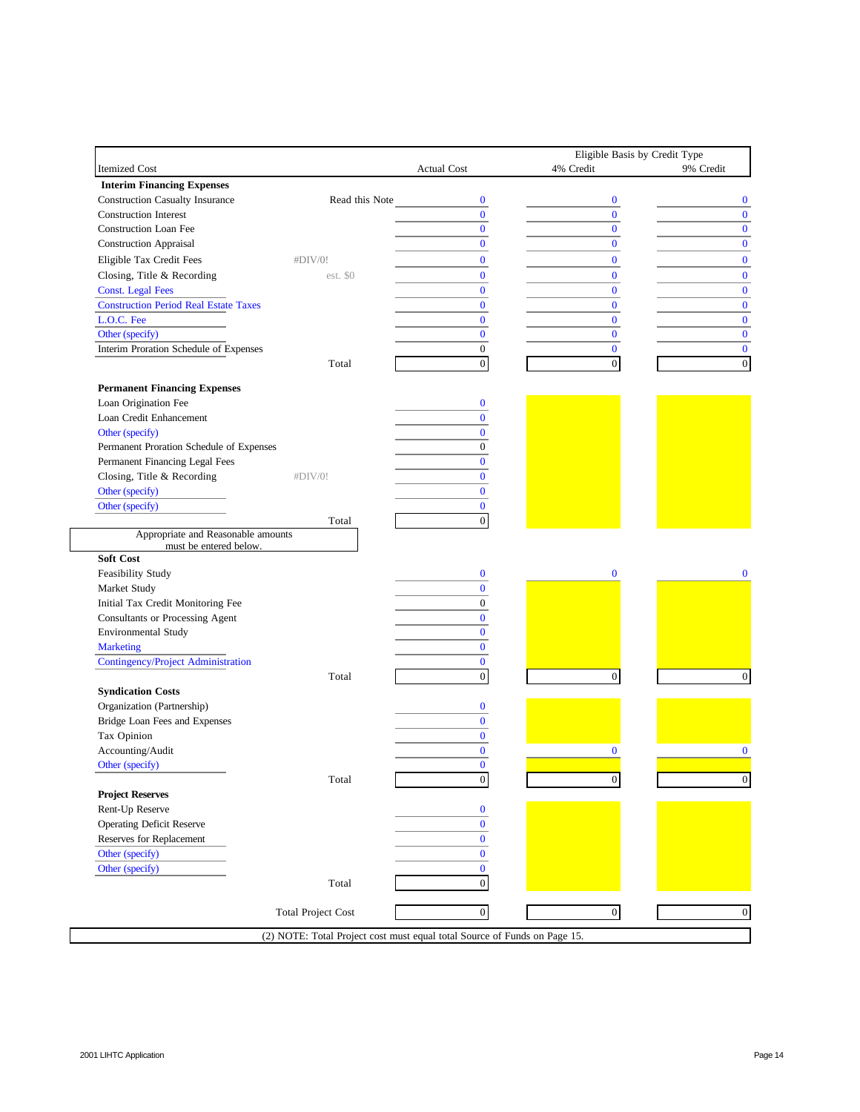|                                                              |                           |                                                                           | Eligible Basis by Credit Type |           |
|--------------------------------------------------------------|---------------------------|---------------------------------------------------------------------------|-------------------------------|-----------|
| Itemized Cost                                                |                           | <b>Actual Cost</b>                                                        | 4% Credit                     | 9% Credit |
| <b>Interim Financing Expenses</b>                            |                           |                                                                           |                               |           |
| <b>Construction Casualty Insurance</b>                       | Read this Note            | $\bf{0}$                                                                  | $\bf{0}$                      |           |
| <b>Construction Interest</b>                                 |                           | $\overline{0}$                                                            | $\Omega$                      |           |
| <b>Construction Loan Fee</b>                                 |                           | $\bf{0}$                                                                  | $\mathbf{0}$                  |           |
| <b>Construction Appraisal</b>                                |                           | $\overline{0}$                                                            | $\overline{0}$                |           |
| Eligible Tax Credit Fees                                     | #DIV/0!                   | $\mathbf{0}$                                                              | $\bf{0}$                      |           |
| Closing, Title & Recording                                   | est. \$0                  | $\bf{0}$                                                                  | $\bf{0}$                      |           |
| <b>Const.</b> Legal Fees                                     |                           | $\Omega$                                                                  | $\bf{0}$                      |           |
| <b>Construction Period Real Estate Taxes</b>                 |                           | $\bf{0}$                                                                  | $\mathbf{0}$                  |           |
| L.O.C. Fee                                                   |                           | $\overline{0}$                                                            | $\bf{0}$                      |           |
| Other (specify)                                              |                           | $\bf{0}$                                                                  | $\bf{0}$                      |           |
| Interim Proration Schedule of Expenses                       |                           | $\overline{0}$                                                            | $\mathbf{0}$                  |           |
|                                                              | Total                     | $\boldsymbol{0}$                                                          | $\boldsymbol{0}$              |           |
|                                                              |                           |                                                                           |                               |           |
| <b>Permanent Financing Expenses</b><br>Loan Origination Fee  |                           | $\bf{0}$                                                                  |                               |           |
| Loan Credit Enhancement                                      |                           | $\mathbf{0}$                                                              |                               |           |
| Other (specify)                                              |                           | $\mathbf{0}$                                                              |                               |           |
| Permanent Proration Schedule of Expenses                     |                           | $\overline{0}$                                                            |                               |           |
|                                                              |                           | $\overline{0}$                                                            |                               |           |
| Permanent Financing Legal Fees<br>Closing, Title & Recording | #DIV/0!                   | $\mathbf{0}$                                                              |                               |           |
|                                                              |                           | $\mathbf{0}$                                                              |                               |           |
| Other (specify)<br>Other (specify)                           |                           | $\mathbf{0}$                                                              |                               |           |
|                                                              | Total                     | $\overline{0}$                                                            |                               |           |
| Appropriate and Reasonable amounts                           |                           |                                                                           |                               |           |
| must be entered below.                                       |                           |                                                                           |                               |           |
| Soft Cost                                                    |                           |                                                                           |                               |           |
| Feasibility Study                                            |                           | $\bf{0}$                                                                  | $\bf{0}$                      |           |
| Market Study                                                 |                           | $\mathbf{0}$                                                              |                               |           |
| Initial Tax Credit Monitoring Fee                            |                           | $\overline{0}$                                                            |                               |           |
| Consultants or Processing Agent                              |                           | $\mathbf{0}$                                                              |                               |           |
| <b>Environmental Study</b>                                   |                           | $\overline{0}$                                                            |                               |           |
| <b>Marketing</b>                                             |                           | $\mathbf{0}$                                                              |                               |           |
| Contingency/Project Administration                           |                           | $\mathbf{0}$                                                              |                               |           |
|                                                              | Total                     | $\boldsymbol{0}$                                                          | $\mathbf{0}$                  |           |
| <b>Syndication Costs</b>                                     |                           |                                                                           |                               |           |
| Organization (Partnership)                                   |                           | $\bf{0}$                                                                  |                               |           |
| Bridge Loan Fees and Expenses                                |                           | $\bf{0}$                                                                  |                               |           |
| Tax Opinion                                                  |                           | $\mathbf{0}$                                                              |                               |           |
| Accounting/Audit                                             |                           | $\bf{0}$                                                                  | $\bf{0}$                      |           |
| Other (specify)                                              |                           | $\mathbf{0}$                                                              |                               |           |
|                                                              | Total                     | $\boldsymbol{0}$                                                          | $\boldsymbol{0}$              |           |
| <b>Project Reserves</b>                                      |                           |                                                                           |                               |           |
| Rent-Up Reserve                                              |                           | $\bf{0}$                                                                  |                               |           |
| <b>Operating Deficit Reserve</b>                             |                           | $\bf{0}$                                                                  |                               |           |
| Reserves for Replacement                                     |                           | $\bf{0}$                                                                  |                               |           |
| Other (specify)                                              |                           | $\bf{0}$                                                                  |                               |           |
| Other (specify)                                              |                           | $\bf{0}$                                                                  |                               |           |
|                                                              | Total                     | $\boldsymbol{0}$                                                          |                               |           |
|                                                              |                           |                                                                           |                               |           |
|                                                              | <b>Total Project Cost</b> | $\boldsymbol{0}$                                                          | $\boldsymbol{0}$              |           |
|                                                              |                           | (2) NOTE: Total Project cost must equal total Source of Funds on Page 15. |                               |           |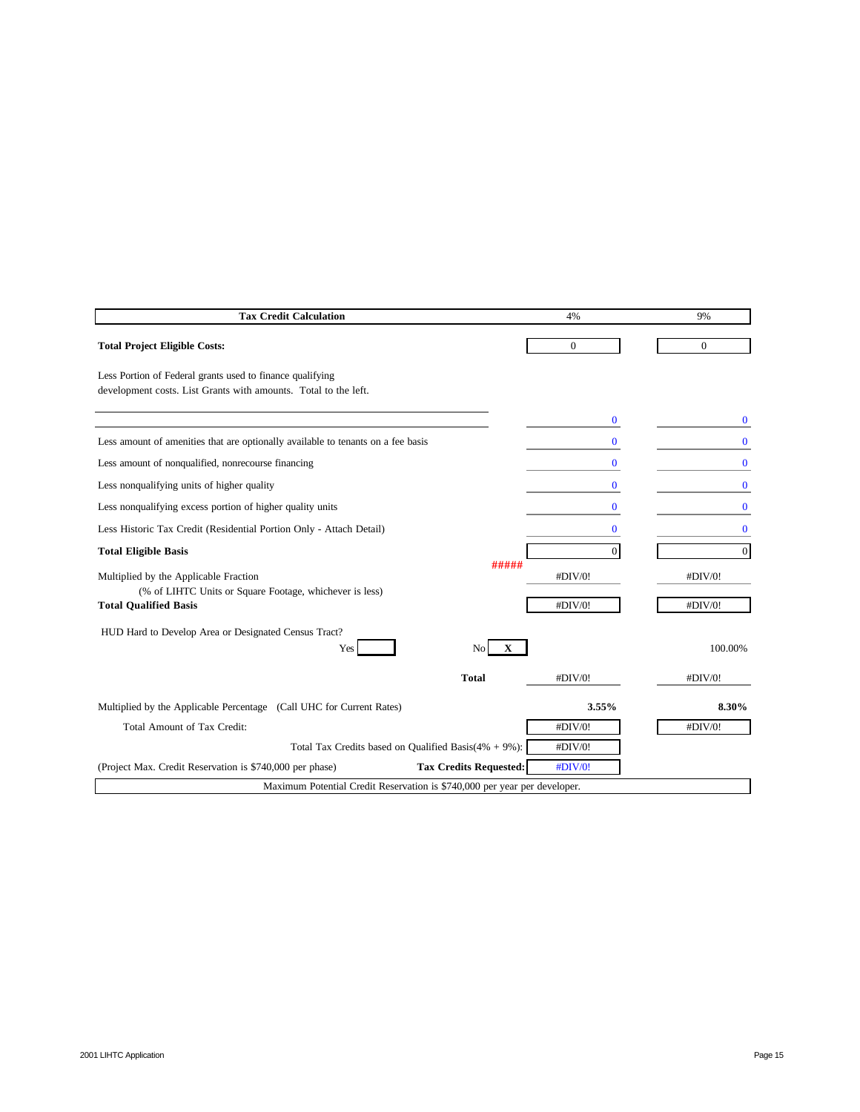| <b>Tax Credit Calculation</b>                                                                                                    |                                                            | 4%                 | 9%                 |
|----------------------------------------------------------------------------------------------------------------------------------|------------------------------------------------------------|--------------------|--------------------|
| <b>Total Project Eligible Costs:</b>                                                                                             |                                                            | $\boldsymbol{0}$   | $\mathbf{0}$       |
| Less Portion of Federal grants used to finance qualifying<br>development costs. List Grants with amounts. Total to the left.     |                                                            |                    |                    |
|                                                                                                                                  |                                                            | $\bf{0}$           | 0                  |
| Less amount of amenities that are optionally available to tenants on a fee basis                                                 |                                                            | 0                  | $\bf{0}$           |
| Less amount of nonqualified, nonrecourse financing                                                                               |                                                            | $\bf{0}$           | $\mathbf{0}$       |
| Less nonqualifying units of higher quality                                                                                       |                                                            | 0                  | 0                  |
| Less nonqualifying excess portion of higher quality units                                                                        |                                                            | $\bf{0}$           | $\bf{0}$           |
| Less Historic Tax Credit (Residential Portion Only - Attach Detail)                                                              |                                                            | $\bf{0}$           | $\bf{0}$           |
| <b>Total Eligible Basis</b>                                                                                                      |                                                            | $\overline{0}$     | $\boldsymbol{0}$   |
| Multiplied by the Applicable Fraction<br>(% of LIHTC Units or Square Footage, whichever is less)<br><b>Total Qualified Basis</b> | #####                                                      | #DIV/0!<br>#DIV/0! | #DIV/0!<br>#DIV/0! |
| HUD Hard to Develop Area or Designated Census Tract?<br>Yes                                                                      | $\mathbf X$<br>N <sub>o</sub>                              |                    | 100.00%            |
|                                                                                                                                  | <b>Total</b>                                               | #DIV/0!            | #DIV/0!            |
| Multiplied by the Applicable Percentage (Call UHC for Current Rates)                                                             |                                                            | 3.55%              | 8.30%              |
| Total Amount of Tax Credit:                                                                                                      |                                                            | #DIV/0!            | #DIV/0!            |
|                                                                                                                                  | Total Tax Credits based on Qualified Basis $(4\% + 9\%)$ : | #DIV/0!            |                    |
| (Project Max. Credit Reservation is \$740,000 per phase)                                                                         | <b>Tax Credits Requested:</b>                              | #DIV/0!            |                    |
| Maximum Potential Credit Reservation is \$740,000 per year per developer.                                                        |                                                            |                    |                    |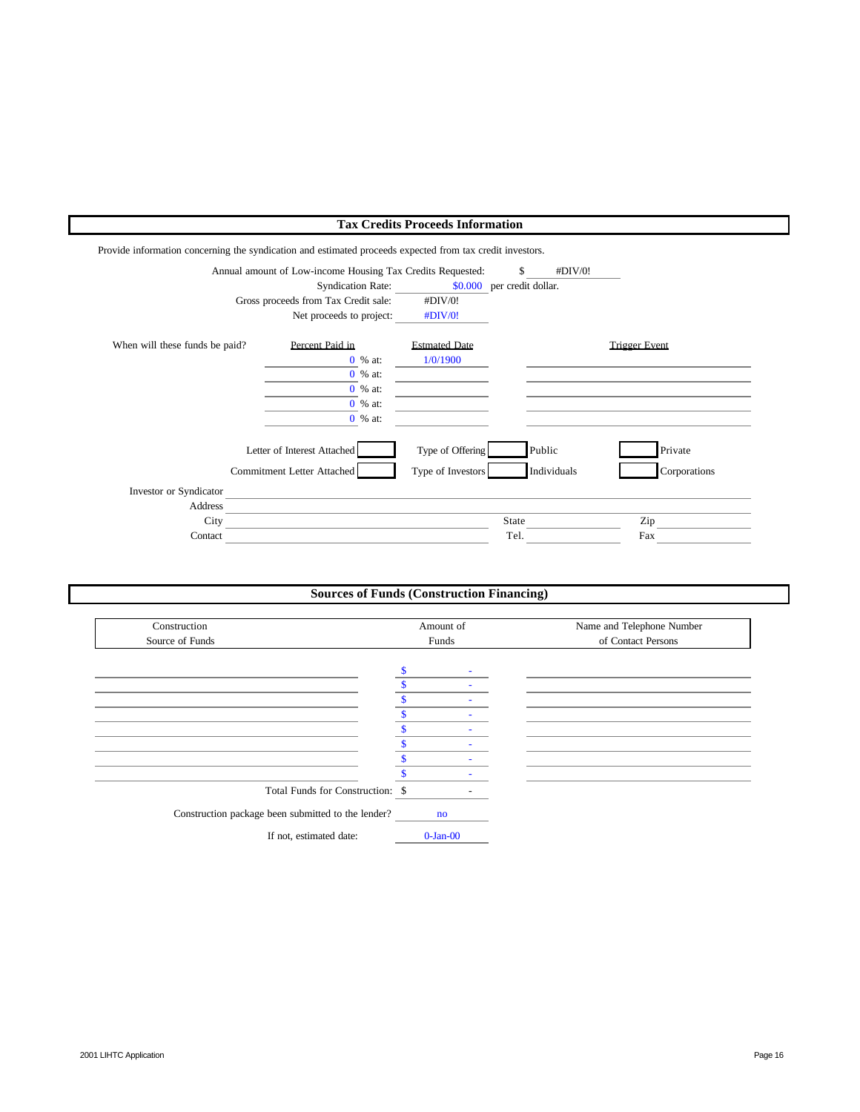# **Tax Credits Proceeds Information**

Provide information concerning the syndication and estimated proceeds expected from tax credit investors.

|                                | Annual amount of Low-income Housing Tax Credits Requested: |                      | #DIV/0!<br>\$              |                      |
|--------------------------------|------------------------------------------------------------|----------------------|----------------------------|----------------------|
|                                | <b>Syndication Rate:</b>                                   |                      | \$0.000 per credit dollar. |                      |
|                                | Gross proceeds from Tax Credit sale:                       | #DIV/0!              |                            |                      |
|                                | Net proceeds to project:                                   | #DIV/0!              |                            |                      |
| When will these funds be paid? | Percent Paid in                                            | <b>Estmated Date</b> |                            | <b>Trigger Event</b> |
|                                | 0 % at:                                                    | 1/0/1900             |                            |                      |
|                                | $0 \%$ at:                                                 |                      |                            |                      |
|                                | 0 % at:                                                    |                      |                            |                      |
|                                | 0 % at:                                                    |                      |                            |                      |
|                                | 0 % at:                                                    |                      |                            |                      |
|                                | Letter of Interest Attached                                | Type of Offering     | Public                     | Private              |
|                                | Commitment Letter Attached                                 | Type of Investors    | Individuals                | Corporations         |
| Investor or Syndicator         |                                                            |                      |                            |                      |
| Address                        |                                                            |                      |                            |                      |
| City                           |                                                            |                      | <b>State</b>               | Zip                  |
| Contact                        |                                                            |                      | Tel.                       | Fax                  |

# **Sources of Funds (Construction Financing)**

| Construction                                       | Amount of |                        |   |  | Name and Telephone Number |  |
|----------------------------------------------------|-----------|------------------------|---|--|---------------------------|--|
| Source of Funds                                    |           | Funds                  |   |  | of Contact Persons        |  |
|                                                    |           |                        |   |  |                           |  |
|                                                    | \$        |                        | ٠ |  |                           |  |
|                                                    |           |                        |   |  |                           |  |
|                                                    |           |                        |   |  |                           |  |
|                                                    |           |                        |   |  |                           |  |
|                                                    |           |                        |   |  |                           |  |
|                                                    | S         |                        |   |  |                           |  |
|                                                    |           |                        |   |  |                           |  |
|                                                    |           |                        |   |  |                           |  |
| Total Funds for Construction: \$                   |           |                        |   |  |                           |  |
| Construction package been submitted to the lender? |           | $\mathbf{n}\mathbf{o}$ |   |  |                           |  |
| If not, estimated date:                            |           | $0$ -Jan- $00$         |   |  |                           |  |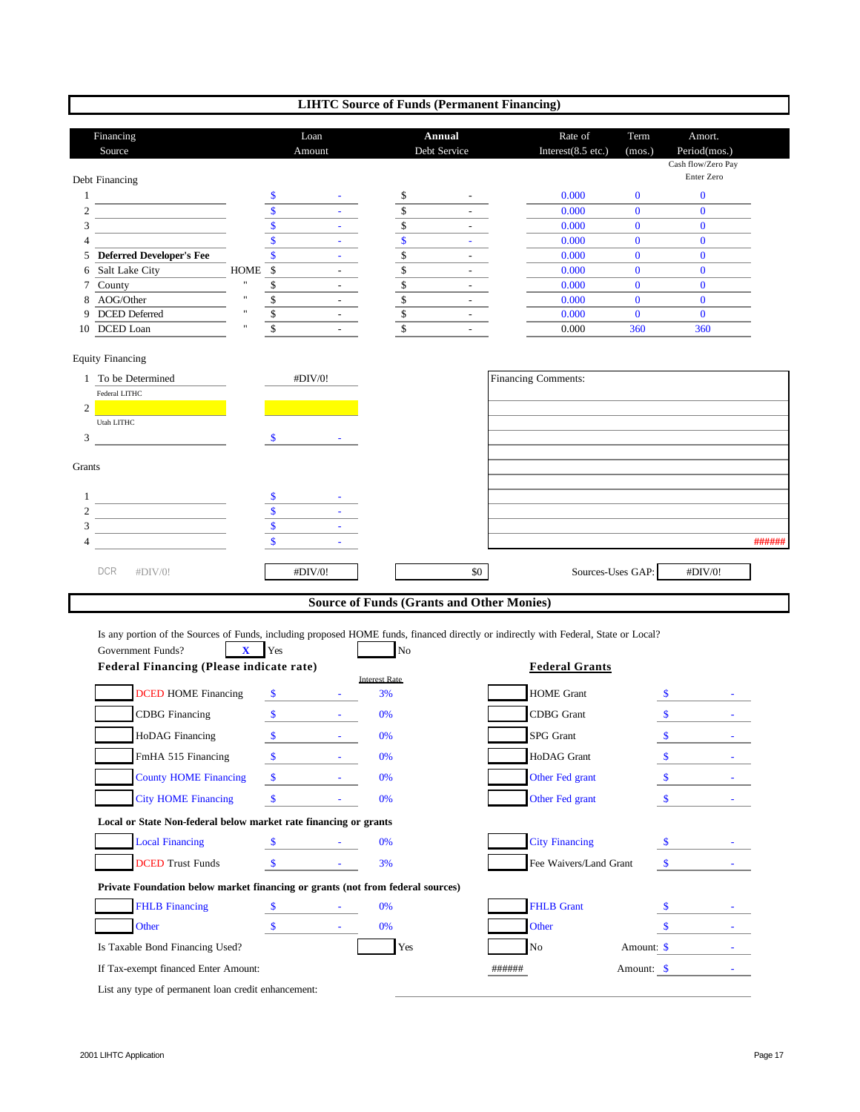# **LIHTC Source of Funds (Permanent Financing)**

|                     | Financing<br>Source                                                                                                                  |              |                                    | Loan<br>Amount                                                                                                                                                                                                                                                                                                           |                          | Annual<br>Debt Service                           | Rate of<br>Interest $(8.5$ etc.) | Term<br>(mos.)               | Amort.<br>Period(mos.)<br>Cash flow/Zero Pay<br>Enter Zero |        |
|---------------------|--------------------------------------------------------------------------------------------------------------------------------------|--------------|------------------------------------|--------------------------------------------------------------------------------------------------------------------------------------------------------------------------------------------------------------------------------------------------------------------------------------------------------------------------|--------------------------|--------------------------------------------------|----------------------------------|------------------------------|------------------------------------------------------------|--------|
|                     | Debt Financing                                                                                                                       |              |                                    |                                                                                                                                                                                                                                                                                                                          |                          |                                                  |                                  |                              |                                                            |        |
| $\mathbf{1}$        |                                                                                                                                      |              | \$                                 |                                                                                                                                                                                                                                                                                                                          | \$                       |                                                  | 0.000                            | $\bf{0}$                     | $\bf{0}$                                                   |        |
| $\overline{c}$<br>3 | the control of the control of the control of                                                                                         |              | $\overline{\$}$<br>$\overline{\$}$ | ÷.                                                                                                                                                                                                                                                                                                                       | \$<br>$\mathbb{S}$       |                                                  | 0.000<br>0.000                   | $\mathbf{0}$<br>$\mathbf{0}$ | $\mathbf{0}$<br>$\mathbf{0}$                               |        |
| 4                   |                                                                                                                                      |              | $\overline{\$}$                    | $\omega$                                                                                                                                                                                                                                                                                                                 | $\overline{\$}$          |                                                  | 0.000                            | $\mathbf{0}$                 | $\bf{0}$                                                   |        |
|                     | 5 Deferred Developer's Fee                                                                                                           |              | \$                                 | $\omega$                                                                                                                                                                                                                                                                                                                 | $\overline{\$}$          | $\sim$                                           | 0.000                            | $\mathbf{0}$                 | $\mathbf{0}$                                               |        |
| 6                   | Salt Lake City                                                                                                                       | <b>HOME</b>  | $\overline{\mathcal{S}}$           |                                                                                                                                                                                                                                                                                                                          | $\overline{\mathcal{L}}$ |                                                  | 0.000                            | $\mathbf{0}$                 | $\mathbf{0}$                                               |        |
| 7                   | County                                                                                                                               |              | $\mathbb{S}$                       | $\omega$ .                                                                                                                                                                                                                                                                                                               | $\overline{\$}$          |                                                  | 0.000                            | $\mathbf{0}$                 | $\mathbf{0}$                                               |        |
| 8                   | AOG/Other                                                                                                                            | $\mathbf{u}$ | $rac{1}{s}$                        | $\overline{\phantom{a}}$                                                                                                                                                                                                                                                                                                 | $rac{1}{s}$              |                                                  | 0.000                            | $\mathbf{0}$                 | $\mathbf{0}$                                               |        |
|                     | 9 DCED Deferred                                                                                                                      |              |                                    | $\omega_{\rm{max}}$                                                                                                                                                                                                                                                                                                      |                          | $\sim$                                           | 0.000                            | $\bf{0}$                     | $\bf{0}$                                                   |        |
|                     | 10 DCED Loan                                                                                                                         |              | $\overline{s}$                     |                                                                                                                                                                                                                                                                                                                          | $\overline{\mathbf{s}}$  |                                                  | 0.000                            | 360                          | 360                                                        |        |
|                     | <b>Equity Financing</b>                                                                                                              |              |                                    |                                                                                                                                                                                                                                                                                                                          |                          |                                                  |                                  |                              |                                                            |        |
|                     | 1 To be Determined                                                                                                                   |              |                                    | #DIV/0!                                                                                                                                                                                                                                                                                                                  |                          |                                                  | Financing Comments:              |                              |                                                            |        |
| 2                   | Federal LITHC                                                                                                                        |              |                                    |                                                                                                                                                                                                                                                                                                                          |                          |                                                  |                                  |                              |                                                            |        |
|                     | <b>Utah LITHC</b>                                                                                                                    |              |                                    |                                                                                                                                                                                                                                                                                                                          |                          |                                                  |                                  |                              |                                                            |        |
| 3                   |                                                                                                                                      |              | \$                                 |                                                                                                                                                                                                                                                                                                                          |                          |                                                  |                                  |                              |                                                            |        |
|                     |                                                                                                                                      |              |                                    |                                                                                                                                                                                                                                                                                                                          |                          |                                                  |                                  |                              |                                                            |        |
| Grants              |                                                                                                                                      |              |                                    |                                                                                                                                                                                                                                                                                                                          |                          |                                                  |                                  |                              |                                                            |        |
|                     |                                                                                                                                      |              |                                    |                                                                                                                                                                                                                                                                                                                          |                          |                                                  |                                  |                              |                                                            |        |
| 1<br>$\overline{2}$ | <u> 1989 - Johann Barn, mars an t-Amerikaansk kommunister (</u>                                                                      |              | $\overline{\$}$                    | $\omega_{\rm{eff}}$                                                                                                                                                                                                                                                                                                      |                          |                                                  |                                  |                              |                                                            |        |
| 3                   | the control of the control of the control of                                                                                         |              | $\overline{\$}$                    |                                                                                                                                                                                                                                                                                                                          |                          |                                                  |                                  |                              |                                                            |        |
| 4                   |                                                                                                                                      |              | $\boldsymbol{\mathsf{s}}$          |                                                                                                                                                                                                                                                                                                                          |                          |                                                  |                                  |                              |                                                            | ###### |
|                     |                                                                                                                                      |              |                                    |                                                                                                                                                                                                                                                                                                                          |                          |                                                  |                                  |                              |                                                            |        |
|                     |                                                                                                                                      |              |                                    |                                                                                                                                                                                                                                                                                                                          |                          |                                                  |                                  |                              |                                                            |        |
|                     | <b>DCR</b><br>#DIV/0!                                                                                                                |              |                                    | #DIV/0!                                                                                                                                                                                                                                                                                                                  |                          | \$0                                              |                                  | Sources-Uses GAP:            | #DIV/0!                                                    |        |
|                     |                                                                                                                                      |              |                                    |                                                                                                                                                                                                                                                                                                                          |                          | <b>Source of Funds (Grants and Other Monies)</b> |                                  |                              |                                                            |        |
|                     | Is any portion of the Sources of Funds, including proposed HOME funds, financed directly or indirectly with Federal, State or Local? |              |                                    |                                                                                                                                                                                                                                                                                                                          |                          |                                                  |                                  |                              |                                                            |        |
|                     | Government Funds?                                                                                                                    | $\mathbf{X}$ | Yes                                |                                                                                                                                                                                                                                                                                                                          | No                       |                                                  |                                  |                              |                                                            |        |
|                     | Federal Financing (Please indicate rate)                                                                                             |              |                                    |                                                                                                                                                                                                                                                                                                                          |                          |                                                  | <b>Federal Grants</b>            |                              |                                                            |        |
|                     |                                                                                                                                      |              |                                    |                                                                                                                                                                                                                                                                                                                          | <b>Interest Rate</b>     |                                                  |                                  |                              |                                                            |        |
|                     | <b>DCED HOME Financing</b>                                                                                                           |              | \$                                 | $\Delta \sim 100$                                                                                                                                                                                                                                                                                                        | 3%                       |                                                  | <b>HOME Grant</b>                |                              | $S$ and $S$                                                |        |
|                     | <b>CDBG</b> Financing                                                                                                                |              | $\mathbf{\hat{s}}$                 | and the state of the                                                                                                                                                                                                                                                                                                     | 0%                       |                                                  | <b>CDBG</b> Grant                |                              | $\mathbf{s}$<br><b>Contractor</b>                          |        |
|                     | HoDAG Financing                                                                                                                      |              | $\mathbf{\$}$                      | $\Delta \sim 100$                                                                                                                                                                                                                                                                                                        | 0%                       |                                                  | SPG Grant                        |                              | \$                                                         |        |
|                     | FmHA 515 Financing                                                                                                                   |              | \$.                                |                                                                                                                                                                                                                                                                                                                          | 0%                       |                                                  | HoDAG Grant                      |                              | $\mathbf{s}$                                               |        |
|                     |                                                                                                                                      |              |                                    |                                                                                                                                                                                                                                                                                                                          | 0%                       |                                                  |                                  |                              |                                                            |        |
|                     | <b>County HOME Financing</b>                                                                                                         |              |                                    | $\int$ $\frac{1}{2}$ $\int$ $\frac{1}{2}$ $\int$ $\frac{1}{2}$ $\int$ $\frac{1}{2}$ $\int$ $\frac{1}{2}$ $\int$ $\frac{1}{2}$ $\int$ $\frac{1}{2}$ $\int$ $\frac{1}{2}$ $\int$ $\frac{1}{2}$ $\int$ $\frac{1}{2}$ $\int$ $\frac{1}{2}$ $\int$ $\frac{1}{2}$ $\int$ $\frac{1}{2}$ $\int$ $\frac{1}{2}$ $\int$ $\frac{1}{$ |                          |                                                  | Other Fed grant                  |                              | $\frac{\text{S}}{\text{S}}$                                |        |
|                     | <b>City HOME Financing</b>                                                                                                           |              | $\sqrt{\frac{2}{5}}$               | $\mathcal{L}^{\mathcal{L}}(\mathcal{L}^{\mathcal{L}})$ and $\mathcal{L}^{\mathcal{L}}(\mathcal{L}^{\mathcal{L}})$ . In the $\mathcal{L}^{\mathcal{L}}(\mathcal{L}^{\mathcal{L}})$                                                                                                                                        | 0%                       |                                                  | Other Fed grant                  |                              | $\mathbf{s}$                                               |        |
|                     | Local or State Non-federal below market rate financing or grants                                                                     |              |                                    |                                                                                                                                                                                                                                                                                                                          |                          |                                                  |                                  |                              |                                                            |        |
|                     | <b>Local Financing</b>                                                                                                               |              | $\boldsymbol{\mathsf{S}}$          |                                                                                                                                                                                                                                                                                                                          | 0%                       |                                                  | <b>City Financing</b>            |                              |                                                            |        |
|                     |                                                                                                                                      |              |                                    |                                                                                                                                                                                                                                                                                                                          |                          |                                                  |                                  |                              | $\frac{1}{\sqrt{2}}$                                       |        |
|                     | <b>DCED</b> Trust Funds<br>Private Foundation below market financing or grants (not from federal sources)                            |              |                                    |                                                                                                                                                                                                                                                                                                                          | 3%                       |                                                  | Fee Waivers/Land Grant           |                              | $\frac{1}{\sqrt{2}}$                                       |        |
|                     | <b>FHLB</b> Financing                                                                                                                |              | $\sqrt{5}$                         | and the control of the                                                                                                                                                                                                                                                                                                   | 0%                       |                                                  | <b>FHLB Grant</b>                |                              | $\mathbf{s}$                                               |        |
|                     | Other                                                                                                                                |              | $\mathbb S$                        | $\Delta \sim 10^4$                                                                                                                                                                                                                                                                                                       | 0%                       |                                                  | Other                            |                              | \$                                                         |        |
|                     |                                                                                                                                      |              |                                    |                                                                                                                                                                                                                                                                                                                          |                          |                                                  |                                  |                              |                                                            |        |
|                     | Is Taxable Bond Financing Used?                                                                                                      |              |                                    |                                                                                                                                                                                                                                                                                                                          | Yes                      |                                                  | No                               |                              | Amount: \$                                                 |        |
|                     | If Tax-exempt financed Enter Amount:<br>List any type of permanent loan credit enhancement:                                          |              |                                    |                                                                                                                                                                                                                                                                                                                          |                          |                                                  | ######                           | Amount: \$                   |                                                            |        |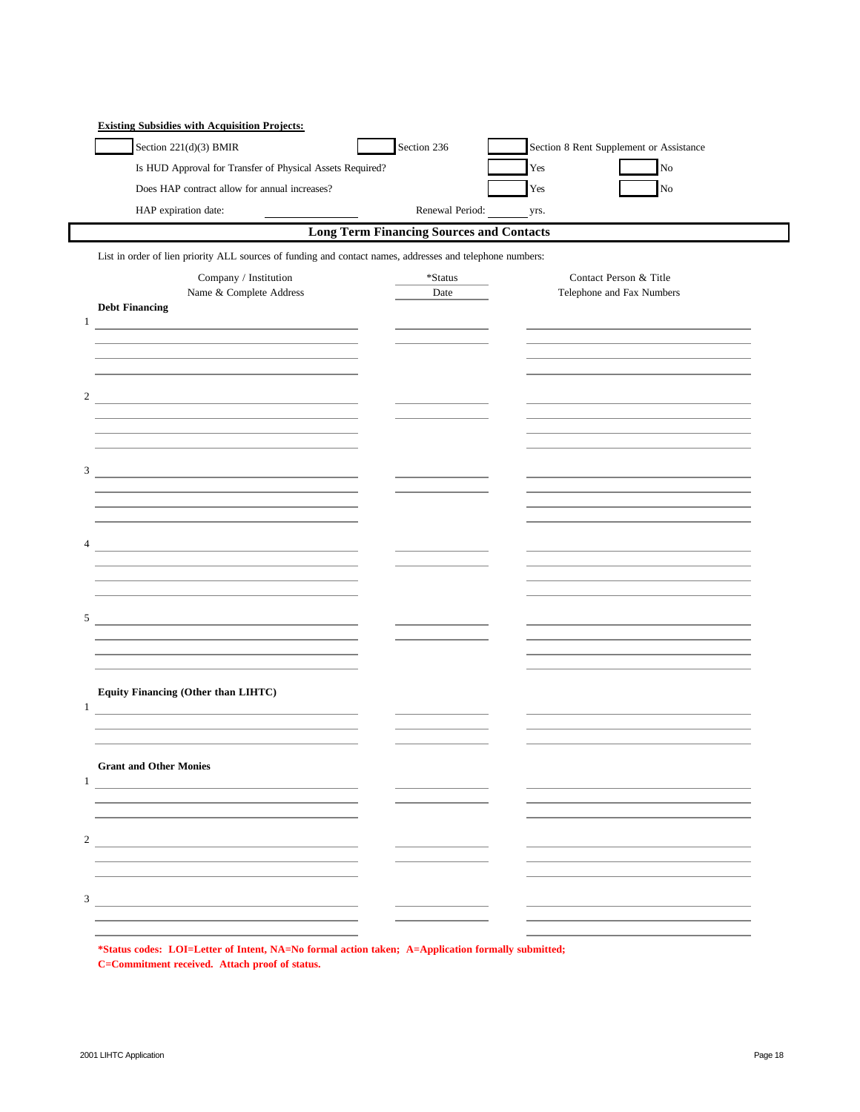| Section 221(d)(3) BMIR                                                                                                | Section 236                                     | Section 8 Rent Supplement or Assistance                                                   |
|-----------------------------------------------------------------------------------------------------------------------|-------------------------------------------------|-------------------------------------------------------------------------------------------|
| Is HUD Approval for Transfer of Physical Assets Required?                                                             |                                                 | Yes<br>$\rm No$                                                                           |
| Does HAP contract allow for annual increases?                                                                         |                                                 | Yes<br>No                                                                                 |
| HAP expiration date:                                                                                                  | Renewal Period:                                 | yrs.                                                                                      |
|                                                                                                                       | <b>Long Term Financing Sources and Contacts</b> |                                                                                           |
| List in order of lien priority ALL sources of funding and contact names, addresses and telephone numbers:             |                                                 |                                                                                           |
| Company / Institution                                                                                                 | *Status                                         | Contact Person & Title                                                                    |
| Name & Complete Address                                                                                               | Date                                            | Telephone and Fax Numbers                                                                 |
| <b>Debt Financing</b>                                                                                                 |                                                 |                                                                                           |
| <u> 1980 - Johann Barbara, martxa alemaniar a</u>                                                                     |                                                 | the control of the control of the control of the control of the control of the control of |
| the control of the control of the control of the control of the control of                                            |                                                 |                                                                                           |
|                                                                                                                       |                                                 |                                                                                           |
|                                                                                                                       |                                                 |                                                                                           |
| <u> 1989 - Johann Stein, mars an deutscher Stein († 1952)</u>                                                         |                                                 |                                                                                           |
|                                                                                                                       |                                                 |                                                                                           |
|                                                                                                                       |                                                 |                                                                                           |
| <u> 1989 - Johann Barn, mars ann an t-Amhain an t-Amhain an t-Amhain an t-Amhain an t-Amhain an t-Amhain an t-Amh</u> |                                                 |                                                                                           |
|                                                                                                                       |                                                 |                                                                                           |
|                                                                                                                       |                                                 |                                                                                           |
|                                                                                                                       |                                                 |                                                                                           |
| <u> 1980 - Andrea Andrew Maria (h. 1980).</u>                                                                         |                                                 |                                                                                           |
|                                                                                                                       |                                                 |                                                                                           |
| the control of the control of the control of the control of the control of the control of                             |                                                 |                                                                                           |
|                                                                                                                       |                                                 |                                                                                           |
| <u> 1980 - Johann Barn, fransk politik (d. 1980)</u>                                                                  |                                                 |                                                                                           |
|                                                                                                                       |                                                 |                                                                                           |
|                                                                                                                       |                                                 |                                                                                           |
| Equity Financing (Other than LIHTC)                                                                                   |                                                 |                                                                                           |
| <u> 1989 - Johann Harry Harry Harry Harry Harry Harry Harry Harry Harry Harry Harry Harry Harry Harry Harry Harry</u> |                                                 |                                                                                           |
|                                                                                                                       |                                                 |                                                                                           |
|                                                                                                                       |                                                 |                                                                                           |
| <b>Grant and Other Monies</b>                                                                                         |                                                 |                                                                                           |
| <u> 1989 - Johann John Stone, Amerikaansk politiker († 1908)</u>                                                      |                                                 |                                                                                           |
|                                                                                                                       |                                                 |                                                                                           |
|                                                                                                                       |                                                 |                                                                                           |
| <u> 1989 - Andrea Stadt Britain, fransk politik (d. 1989)</u>                                                         |                                                 |                                                                                           |
|                                                                                                                       |                                                 |                                                                                           |
|                                                                                                                       |                                                 |                                                                                           |
| <u> 1989 - Andrea State Barbara, Amerikaansk politiker (</u>                                                          |                                                 |                                                                                           |
|                                                                                                                       |                                                 |                                                                                           |

**\*Status codes: LOI=Letter of Intent, NA=No formal action taken; A=Application formally submitted; C=Commitment received. Attach proof of status.**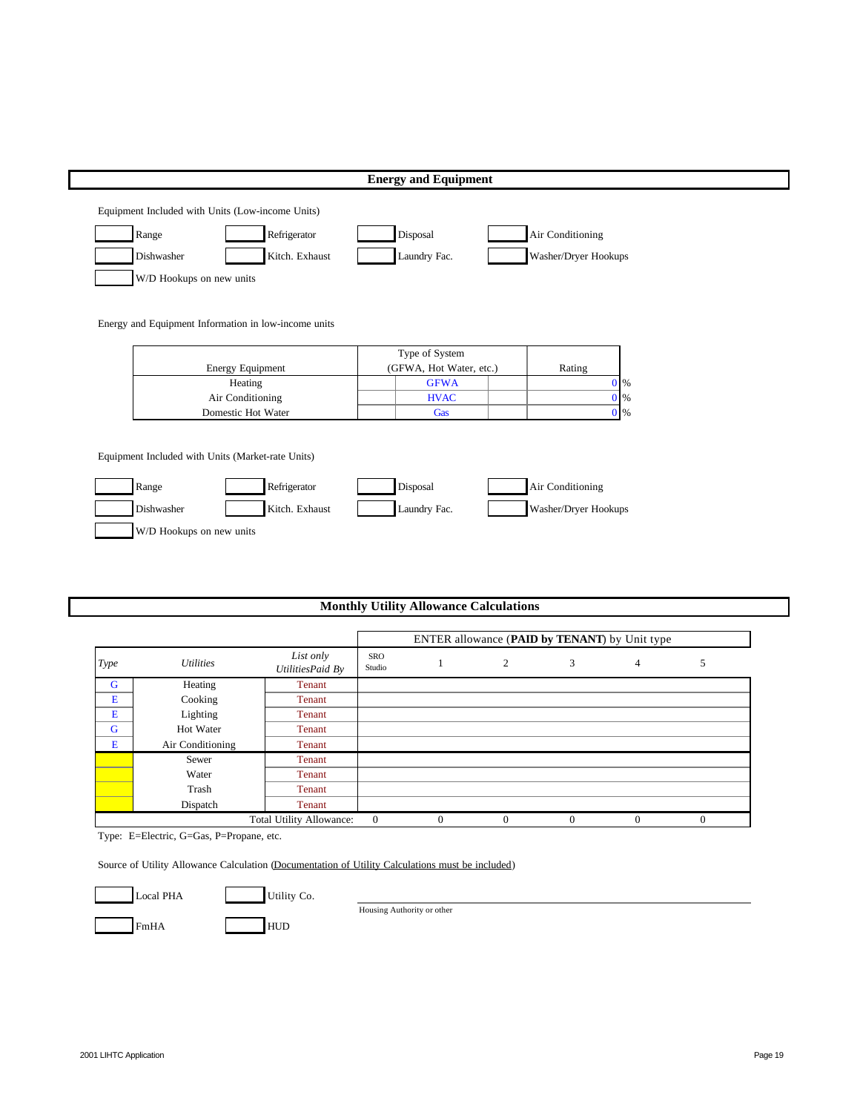| Dishwasher<br>Kitch. Exhaust<br>Laundry Fac.<br>Washer/Dryer Hookups<br>W/D Hookups on new units<br>Energy and Equipment Information in low-income units<br>Type of System<br><b>Energy Equipment</b><br>(GFWA, Hot Water, etc.)<br>Rating<br>Heating<br><b>GFWA</b><br>$0\%$ | $0\%$<br>Air Conditioning<br><b>HVAC</b> | Domestic Hot Water<br>$0\%$<br>Gas |  |
|-------------------------------------------------------------------------------------------------------------------------------------------------------------------------------------------------------------------------------------------------------------------------------|------------------------------------------|------------------------------------|--|
|                                                                                                                                                                                                                                                                               |                                          |                                    |  |
|                                                                                                                                                                                                                                                                               |                                          |                                    |  |
|                                                                                                                                                                                                                                                                               |                                          |                                    |  |
|                                                                                                                                                                                                                                                                               |                                          |                                    |  |
|                                                                                                                                                                                                                                                                               |                                          |                                    |  |
|                                                                                                                                                                                                                                                                               |                                          |                                    |  |
|                                                                                                                                                                                                                                                                               |                                          |                                    |  |
|                                                                                                                                                                                                                                                                               |                                          |                                    |  |
|                                                                                                                                                                                                                                                                               |                                          |                                    |  |
|                                                                                                                                                                                                                                                                               |                                          |                                    |  |
|                                                                                                                                                                                                                                                                               |                                          |                                    |  |
|                                                                                                                                                                                                                                                                               |                                          |                                    |  |
| Equipment Included with Units (Market-rate Units)                                                                                                                                                                                                                             |                                          |                                    |  |
|                                                                                                                                                                                                                                                                               |                                          |                                    |  |
| Range<br>Refrigerator<br>Disposal<br>Air Conditioning                                                                                                                                                                                                                         |                                          |                                    |  |
|                                                                                                                                                                                                                                                                               |                                          |                                    |  |

|  |  |  | <b>Monthly Utility Allowance Calculations</b> |
|--|--|--|-----------------------------------------------|
|--|--|--|-----------------------------------------------|

|      |                  |                               |                      |          | ENTER allowance (PAID by TENANT) by Unit type |          |   |          |
|------|------------------|-------------------------------|----------------------|----------|-----------------------------------------------|----------|---|----------|
| Type | <i>Utilities</i> | List only<br>UtilitiesPaid By | <b>SRO</b><br>Studio |          | 2                                             | 3        | 4 | 5        |
| G    | Heating          | Tenant                        |                      |          |                                               |          |   |          |
| E    | Cooking          | Tenant                        |                      |          |                                               |          |   |          |
| E    | Lighting         | Tenant                        |                      |          |                                               |          |   |          |
| G    | Hot Water        | Tenant                        |                      |          |                                               |          |   |          |
| E    | Air Conditioning | Tenant                        |                      |          |                                               |          |   |          |
|      | Sewer            | Tenant                        |                      |          |                                               |          |   |          |
|      | Water            | Tenant                        |                      |          |                                               |          |   |          |
|      | Trash            | Tenant                        |                      |          |                                               |          |   |          |
|      | Dispatch         | Tenant                        |                      |          |                                               |          |   |          |
|      |                  | Total Utility Allowance:      | $\theta$             | $\Omega$ | $\Omega$                                      | $\Omega$ | 0 | $\theta$ |

Type: E=Electric, G=Gas, P=Propane, etc.

Source of Utility Allowance Calculation (Documentation of Utility Calculations must be included)



Local PHA Utility Co.



Housing Authority or other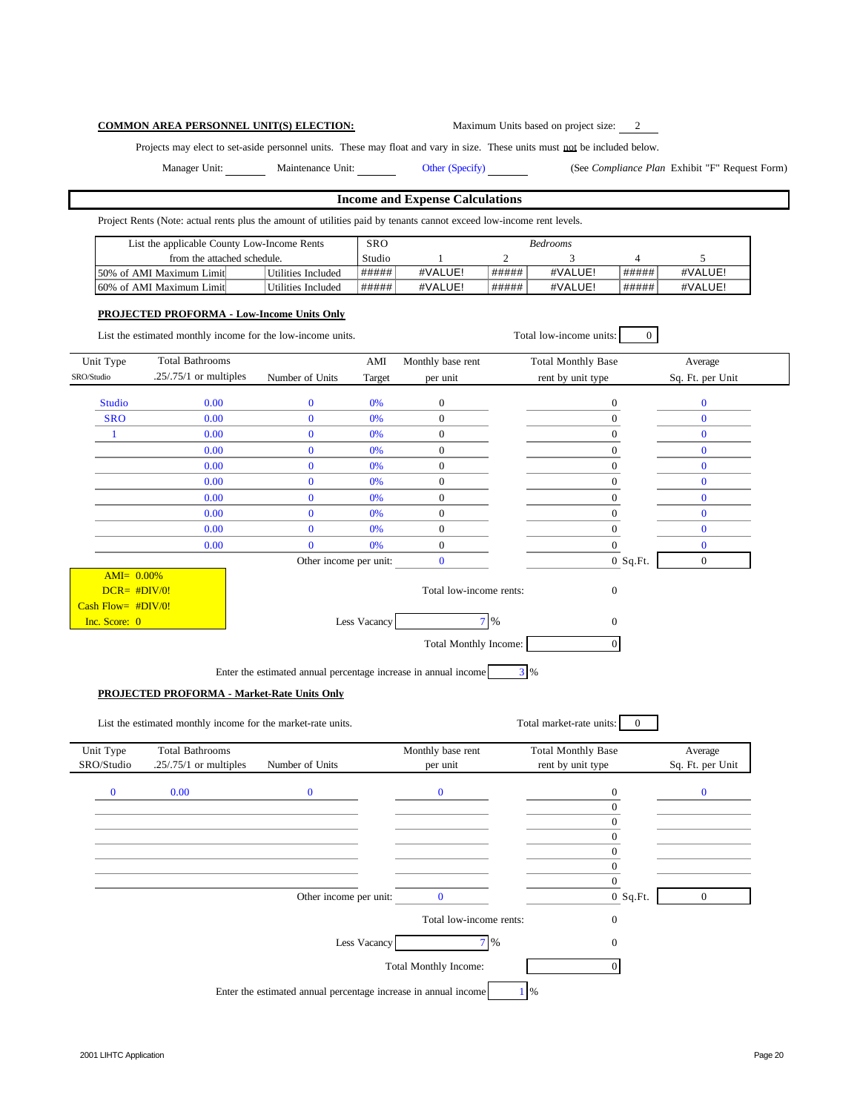# **COMMON AREA PERSONNEL UNIT(S) ELECTION:** Maximum Units based on project size: 2

Projects may elect to set-aside personnel units. These may float and vary in size. These units must not be included below.

Manager Unit: Maintenance Unit: Other (Specify) (See *Compliance Plan* Exhibit "F" Request Form)

## **Income and Expense Calculations**

Project Rents (Note: actual rents plus the amount of utilities paid by tenants cannot exceed low-income rent levels.

| List the applicable County Low-Income Rents | <b>SRO</b>         |           |         | <b>Bedrooms</b> |         |       |         |
|---------------------------------------------|--------------------|-----------|---------|-----------------|---------|-------|---------|
| from the attached schedule.                 |                    | Studio    |         |                 |         |       |         |
| 50% of AMI Maximum Limit                    | Utilities Included | . ##### ' | #VALUE! | #####           | #VALUE! | ##### | #VALUE! |
| 60% of AMI Maximum Limit                    | Utilities Included | #####     | #VALUE! | #####           | #VALUE! | ##### | #VALUE! |

#### **PROJECTED PROFORMA - Low-Income Units Only**

| Unit Type                                               |                                                                                                                    |                                                                 |              |                         |                                          |                  |
|---------------------------------------------------------|--------------------------------------------------------------------------------------------------------------------|-----------------------------------------------------------------|--------------|-------------------------|------------------------------------------|------------------|
|                                                         | <b>Total Bathrooms</b>                                                                                             |                                                                 | AMI          | Monthly base rent       | <b>Total Monthly Base</b>                | Average          |
| SRO/Studio                                              | $.25/.75/1$ or multiples                                                                                           | Number of Units                                                 | Target       | per unit                | rent by unit type                        | Sq. Ft. per Unit |
| <b>Studio</b>                                           | 0.00                                                                                                               | $\bf{0}$                                                        | 0%           | $\boldsymbol{0}$        | $\boldsymbol{0}$                         | $\bf{0}$         |
| <b>SRO</b>                                              | 0.00                                                                                                               | $\mathbf{0}$                                                    | 0%           | $\overline{0}$          | $\boldsymbol{0}$                         | $\mathbf{0}$     |
| $\mathbf{1}$                                            | 0.00                                                                                                               | $\bf{0}$                                                        | 0%           | $\boldsymbol{0}$        | $\mathbf{0}$                             | $\bf{0}$         |
|                                                         | 0.00                                                                                                               | $\mathbf{0}$                                                    | 0%           | $\overline{0}$          | $\overline{0}$                           | $\mathbf{0}$     |
|                                                         | 0.00                                                                                                               | $\bf{0}$                                                        | 0%           | $\boldsymbol{0}$        | $\boldsymbol{0}$                         | $\bf{0}$         |
|                                                         | 0.00                                                                                                               | $\mathbf{0}$                                                    | 0%           | $\overline{0}$          | $\overline{0}$                           | $\mathbf{0}$     |
|                                                         | 0.00                                                                                                               | $\mathbf{0}$                                                    | 0%           | $\mathbf{0}$            | $\mathbf{0}$                             | $\mathbf{0}$     |
|                                                         | 0.00                                                                                                               | $\mathbf{0}$                                                    | 0%           | $\mathbf{0}$            | $\mathbf{0}$                             | $\bf{0}$         |
|                                                         | 0.00                                                                                                               | $\mathbf{0}$                                                    | 0%           | $\overline{0}$          | $\overline{0}$                           | $\mathbf{0}$     |
|                                                         | 0.00                                                                                                               | $\overline{0}$                                                  | 0%           | $\overline{0}$          | $\overline{0}$                           | $\mathbf{0}$     |
|                                                         |                                                                                                                    | Other income per unit:                                          |              | $\mathbf{0}$            | $0$ Sq.Ft.                               | $\theta$         |
| $AMI = 0.00\%$<br>$DCR = #DIV/0!$<br>Cash Flow= #DIV/0! |                                                                                                                    |                                                                 |              | Total low-income rents: | $\boldsymbol{0}$                         |                  |
| Inc. Score: 0                                           |                                                                                                                    |                                                                 | Less Vacancy | $7\%$                   | $\boldsymbol{0}$                         |                  |
|                                                         |                                                                                                                    | Enter the estimated annual percentage increase in annual income |              |                         | 3 %                                      |                  |
|                                                         | <b>PROJECTED PROFORMA - Market-Rate Units Only</b><br>List the estimated monthly income for the market-rate units. |                                                                 |              |                         | Total market-rate units:<br>$\mathbf{0}$ |                  |
|                                                         |                                                                                                                    |                                                                 |              |                         |                                          |                  |
|                                                         | <b>Total Bathrooms</b>                                                                                             |                                                                 |              | Monthly base rent       | <b>Total Monthly Base</b>                | Average          |
| Unit Type<br>SRO/Studio                                 | $.25/.75/1$ or multiples                                                                                           | Number of Units                                                 |              | per unit                | rent by unit type                        | Sq. Ft. per Unit |
| $\bf{0}$                                                | 0.00                                                                                                               | $\mathbf{0}$                                                    |              | $\bf{0}$                | $\boldsymbol{0}$                         | $\bf{0}$         |
|                                                         |                                                                                                                    |                                                                 |              |                         | $\overline{0}$                           |                  |
|                                                         |                                                                                                                    |                                                                 |              |                         | $\boldsymbol{0}$                         |                  |
|                                                         |                                                                                                                    |                                                                 |              |                         | $\overline{0}$                           |                  |
|                                                         |                                                                                                                    |                                                                 |              |                         | $\overline{0}$                           |                  |
|                                                         |                                                                                                                    |                                                                 |              |                         | $\mathbf{0}$                             |                  |
|                                                         |                                                                                                                    |                                                                 |              |                         | $\overline{0}$                           |                  |
|                                                         |                                                                                                                    | Other income per unit:                                          |              | $\mathbf{0}$            | $0$ Sq. Ft.                              | $\overline{0}$   |
|                                                         |                                                                                                                    |                                                                 |              | Total low-income rents: | $\boldsymbol{0}$                         |                  |
|                                                         |                                                                                                                    |                                                                 | Less Vacancy | $7\%$                   | $\mathbf{0}$                             |                  |
|                                                         |                                                                                                                    |                                                                 |              | Total Monthly Income:   | $\overline{0}$                           |                  |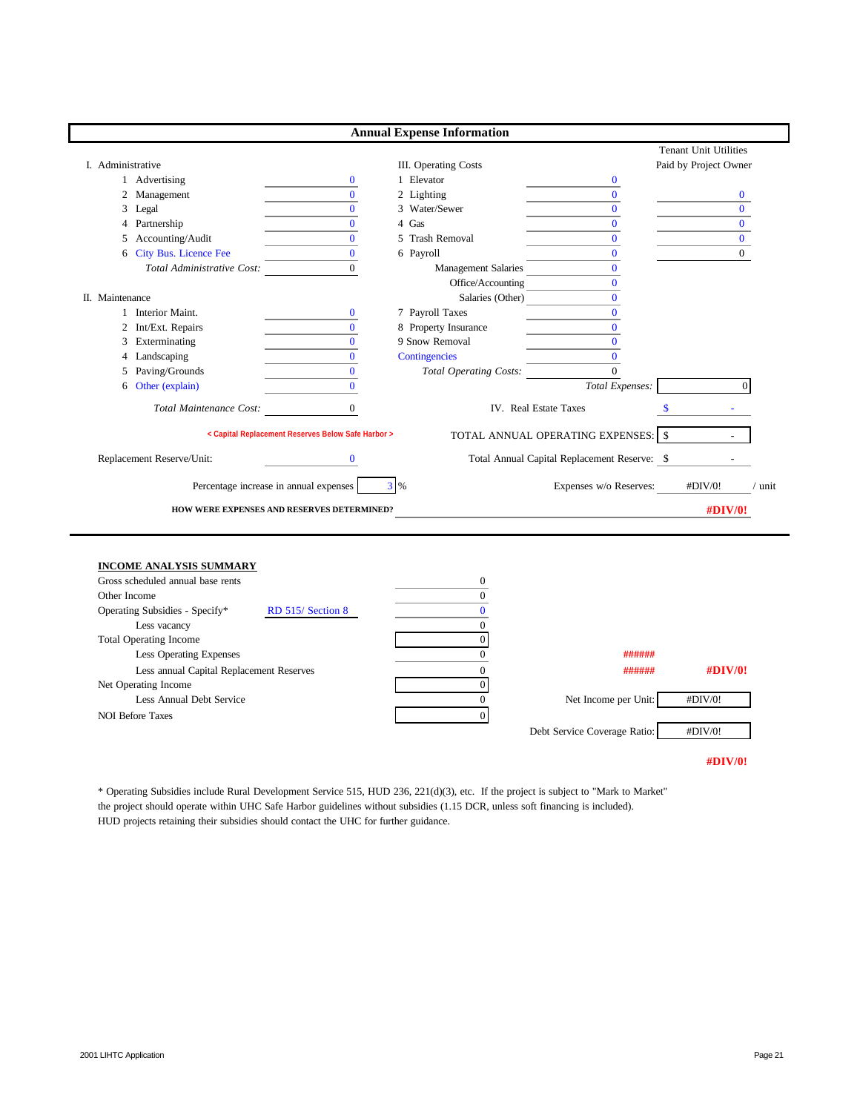|                   |                            |                                                    | <b>Annual Expense Information</b> |                                              |                              |        |
|-------------------|----------------------------|----------------------------------------------------|-----------------------------------|----------------------------------------------|------------------------------|--------|
|                   |                            |                                                    |                                   |                                              | <b>Tenant Unit Utilities</b> |        |
| I. Administrative |                            |                                                    | III. Operating Costs              |                                              | Paid by Project Owner        |        |
|                   | 1 Advertising              | $\bf{0}$                                           | 1 Elevator                        | $\bf{0}$                                     |                              |        |
| 2                 | Management                 | $\mathbf{0}$                                       | 2 Lighting                        | $\Omega$                                     | $\bf{0}$                     |        |
| 3                 | Legal                      | $\Omega$                                           | 3 Water/Sewer                     | $\Omega$                                     | $\Omega$                     |        |
|                   | 4 Partnership              | $\Omega$                                           | 4 Gas                             | $\Omega$                                     | $\Omega$                     |        |
| 5                 | Accounting/Audit           | $\overline{0}$                                     | 5 Trash Removal                   | $\bf{0}$                                     | $\Omega$                     |        |
| 6                 | City Bus. Licence Fee      | $\Omega$                                           | 6 Payroll                         | $\mathbf{0}$                                 | $\Omega$                     |        |
|                   | Total Administrative Cost: | $\Omega$                                           | <b>Management Salaries</b>        | $\Omega$                                     |                              |        |
|                   |                            |                                                    | Office/Accounting                 | $\mathbf{0}$                                 |                              |        |
| II. Maintenance   |                            |                                                    | Salaries (Other)                  | $\Omega$                                     |                              |        |
|                   | Interior Maint.            | $\bf{0}$                                           | 7 Payroll Taxes                   | $\mathbf{0}$                                 |                              |        |
| $\overline{2}$    | Int/Ext. Repairs           | $\Omega$                                           | 8 Property Insurance              | $\overline{0}$                               |                              |        |
| 3                 | Exterminating              | $\Omega$                                           | 9 Snow Removal                    | $\Omega$                                     |                              |        |
| 4                 | Landscaping                | $\overline{0}$                                     | Contingencies                     | $\Omega$                                     |                              |        |
| 5.                | Paving/Grounds             | $\mathbf{0}$                                       | <b>Total Operating Costs:</b>     | $\Omega$                                     |                              |        |
| 6                 | Other (explain)            | $\mathbf{0}$                                       |                                   | Total Expenses:                              | $\Omega$                     |        |
|                   | Total Maintenance Cost:    | $\mathbf{0}$                                       |                                   | IV. Real Estate Taxes                        | <sup>\$</sup>                |        |
|                   |                            | < Capital Replacement Reserves Below Safe Harbor > |                                   | TOTAL ANNUAL OPERATING EXPENSES: \\$         |                              |        |
|                   | Replacement Reserve/Unit:  | $\bf{0}$                                           |                                   | Total Annual Capital Replacement Reserve: \$ |                              |        |
|                   |                            | Percentage increase in annual expenses             | $3\%$                             | Expenses w/o Reserves:                       | #DIV/0!                      | / unit |
|                   |                            | HOW WERE EXPENSES AND RESERVES DETERMINED?         |                                   |                                              | <b>#DIV/0!</b>               |        |

|  |  | <b>INCOME ANALYSIS SUMMARY</b> |
|--|--|--------------------------------|
|  |  |                                |

| Gross scheduled annual base rents                  |                              |             |
|----------------------------------------------------|------------------------------|-------------|
| Other Income                                       |                              |             |
| Operating Subsidies - Specify*<br>RD 515/Section 8 |                              |             |
| Less vacancy                                       |                              |             |
| <b>Total Operating Income</b>                      |                              |             |
| <b>Less Operating Expenses</b>                     | ######                       |             |
| Less annual Capital Replacement Reserves           | ######                       | $\#$ DIV/0! |
| Net Operating Income                               |                              |             |
| Less Annual Debt Service                           | Net Income per Unit:         | #DIV/0!     |
| <b>NOI Before Taxes</b>                            |                              |             |
|                                                    | Debt Service Coverage Ratio: | #DIV/0!     |
|                                                    |                              |             |

**#DIV/0!**

\* Operating Subsidies include Rural Development Service 515, HUD 236, 221(d)(3), etc. If the project is subject to "Mark to Market" the project should operate within UHC Safe Harbor guidelines without subsidies (1.15 DCR, unless soft financing is included). HUD projects retaining their subsidies should contact the UHC for further guidance.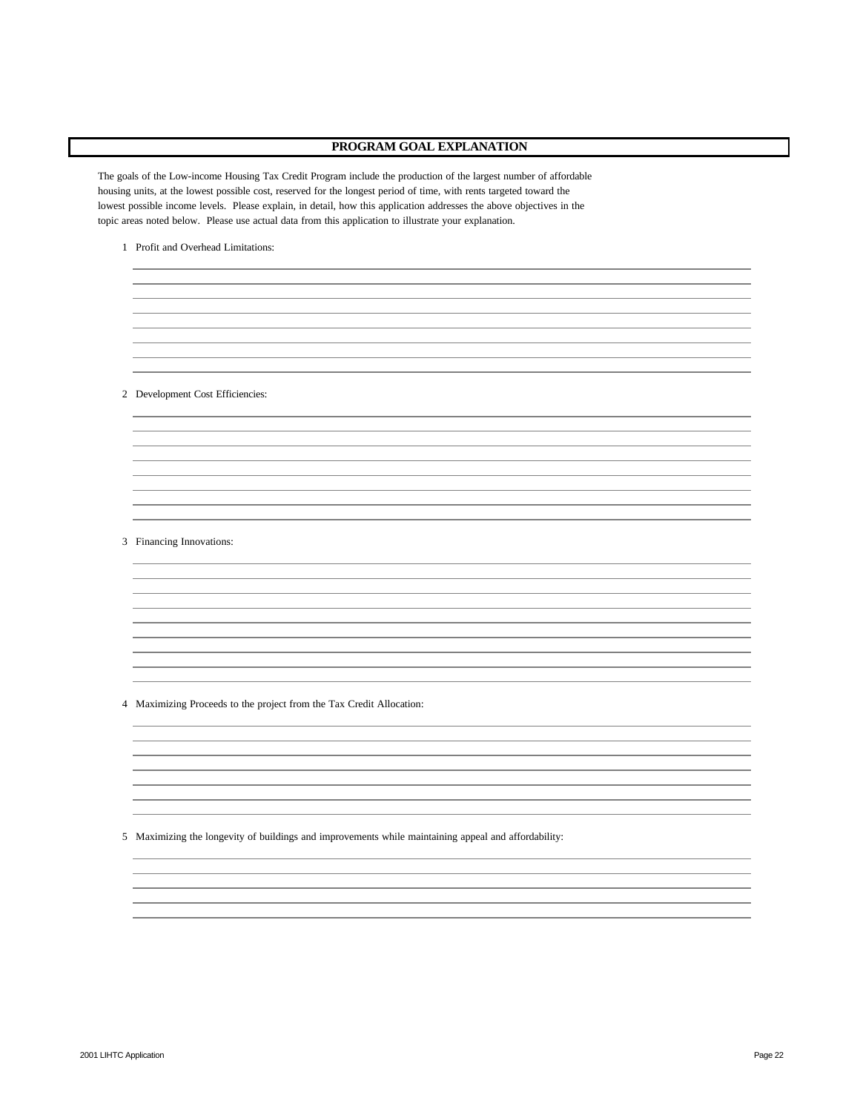## **PROGRAM GOAL EXPLANATION**

The goals of the Low-income Housing Tax Credit Program include the production of the largest number of affordable housing units, at the lowest possible cost, reserved for the longest period of time, with rents targeted toward the lowest possible income levels. Please explain, in detail, how this application addresses the above objectives in the topic areas noted below. Please use actual data from this application to illustrate your explanation.

1 Profit and Overhead Limitations:

2 Development Cost Efficiencies:

### 3 Financing Innovations:

4 Maximizing Proceeds to the project from the Tax Credit Allocation:

5 Maximizing the longevity of buildings and improvements while maintaining appeal and affordability: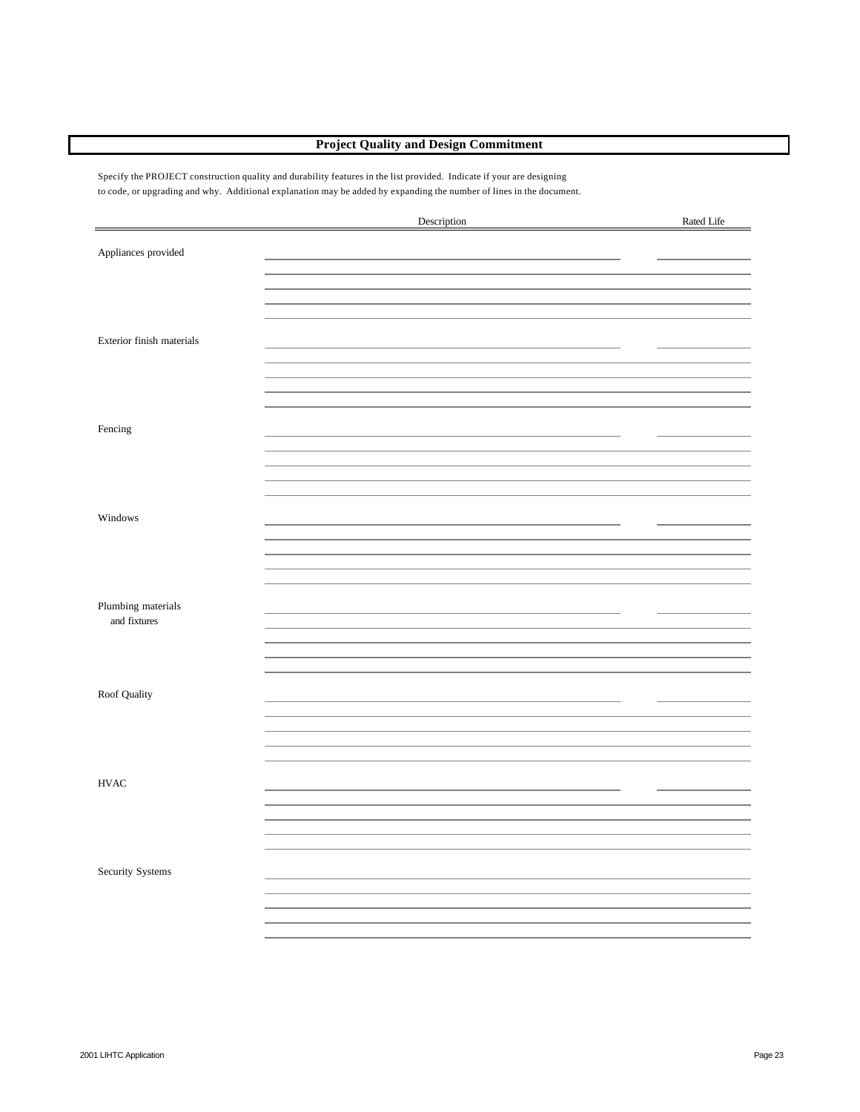# **Project Quality and Design Commitment**

Specify the PROJECT construction quality and durability features in the list provided. Indicate if your are designing to code, or upgrading and why. Additional explanation may be added by expanding the number of lines in the document.

|                                    | Description | Rated Life |
|------------------------------------|-------------|------------|
| Appliances provided                |             |            |
|                                    |             |            |
|                                    |             |            |
| Exterior finish materials          |             |            |
|                                    |             |            |
| Fencing                            |             |            |
|                                    |             |            |
|                                    |             |            |
| Windows                            |             |            |
|                                    |             |            |
| Plumbing materials<br>and fixtures |             |            |
|                                    |             |            |
|                                    |             |            |
| Roof Quality                       |             |            |
|                                    |             |            |
| ${\rm HVAC}$                       |             |            |
|                                    |             |            |
|                                    |             |            |
| Security Systems                   |             |            |
|                                    |             |            |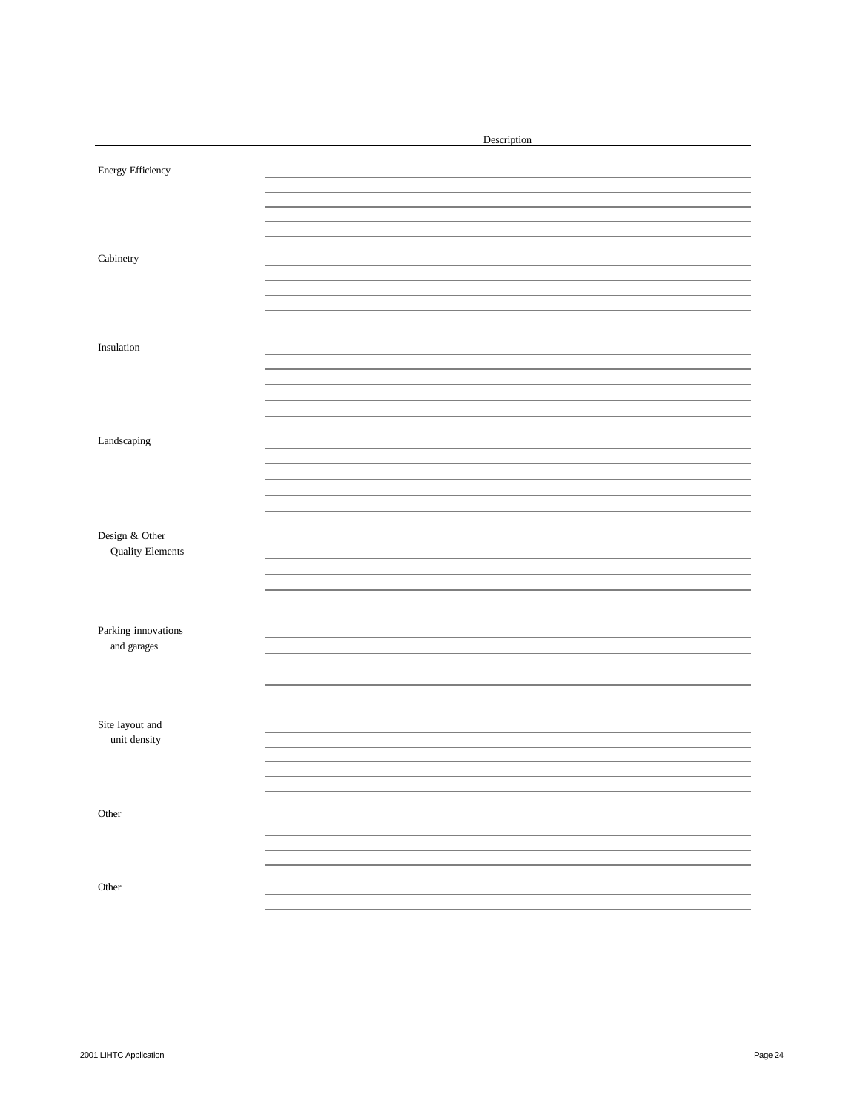|                         | Description |
|-------------------------|-------------|
| Energy Efficiency       |             |
|                         |             |
|                         |             |
|                         |             |
| ${\bf C}$ abinetry      |             |
|                         |             |
|                         |             |
|                         |             |
|                         |             |
| Insulation              |             |
|                         |             |
|                         |             |
|                         |             |
|                         |             |
| Landscaping             |             |
|                         |             |
|                         |             |
|                         |             |
|                         |             |
|                         |             |
| Design & Other          |             |
| <b>Quality Elements</b> |             |
|                         |             |
|                         |             |
|                         |             |
| Parking innovations     |             |
| and garages             |             |
|                         |             |
|                         |             |
|                         |             |
| Site layout and         |             |
| unit density            |             |
|                         |             |
|                         |             |
|                         |             |
| Other                   |             |
|                         |             |
|                         |             |
|                         |             |
| Other                   |             |
|                         |             |
|                         |             |
|                         |             |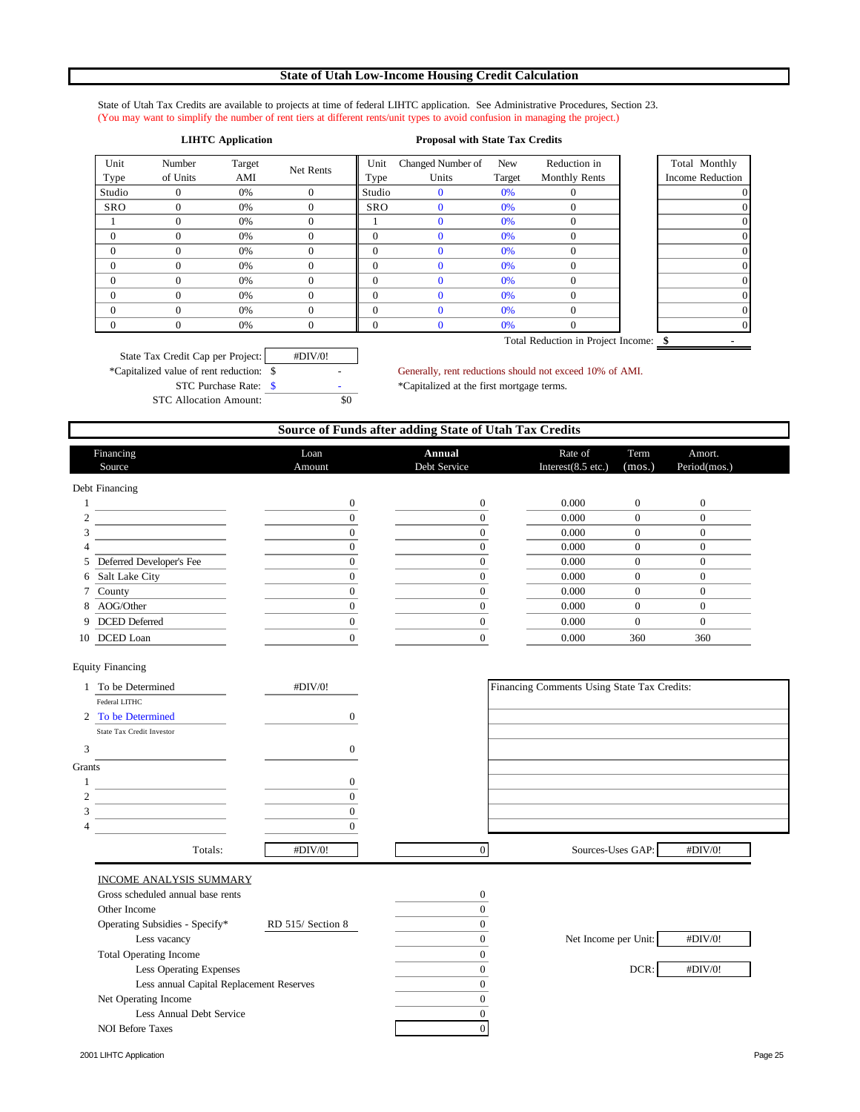## **State of Utah Low-Income Housing Credit Calculation**

State of Utah Tax Credits are available to projects at time of federal LIHTC application. See Administrative Procedures, Section 23. (You may want to simplify the number of rent tiers at different rents/unit types to avoid confusion in managing the project.)

## **LIHTC Application Proposal with State Tax Credits**

| Unit<br>Type | Number<br>of Units | Target<br>AMI | Net Rents | Unit<br>Type | Changed Number of<br>Units | New<br>Target | Reduction in<br><b>Monthly Rents</b> | Total Monthly<br><b>Income Reduction</b> |
|--------------|--------------------|---------------|-----------|--------------|----------------------------|---------------|--------------------------------------|------------------------------------------|
| Studio       |                    | 0%            |           | Studio       |                            | 0%            |                                      |                                          |
| <b>SRO</b>   |                    | 0%            |           | <b>SRO</b>   |                            | 0%            |                                      |                                          |
|              |                    | 0%            |           |              |                            | 0%            |                                      |                                          |
| $\theta$     |                    | 0%            |           | $\theta$     |                            | 0%            |                                      |                                          |
| $\theta$     |                    | 0%            |           | $\theta$     |                            | 0%            |                                      |                                          |
| $\theta$     |                    | 0%            |           | $\Omega$     |                            | 0%            |                                      |                                          |
| $\theta$     |                    | 0%            |           | $\Omega$     |                            | 0%            |                                      |                                          |
| $\theta$     |                    | 0%            |           | $\theta$     |                            | 0%            |                                      |                                          |
| $\Omega$     | $\Omega$           | 0%            |           | $\theta$     |                            | 0%            |                                      |                                          |
|              |                    | 0%            |           | 0            |                            | 0%            |                                      |                                          |

d Monthly ne Reduction Total Reduction in Project Income: \$

State Tax Credit Cap per Project: #DIV/0! \*Capitalized value of rent reduction: \$ - Generally, rent reductions should not exceed 10% of AMI. STC Purchase Rate: \$  $\bullet$  - \* Capitalized at the first mortgage terms. STC Allocation Amount: \$0

|                                          |                   | Source of Funds after adding State of Utah Tax Credits |                                             |                  |                        |  |
|------------------------------------------|-------------------|--------------------------------------------------------|---------------------------------------------|------------------|------------------------|--|
| Financing<br>Source                      | Loan<br>Amount    | Annual<br>Debt Service                                 | Rate of<br>Interest(8.5 etc.)               | Term<br>(mos.)   | Amort.<br>Period(mos.) |  |
| Debt Financing                           |                   |                                                        |                                             |                  |                        |  |
| 1                                        | $\boldsymbol{0}$  | $\boldsymbol{0}$                                       | 0.000                                       | $\boldsymbol{0}$ | $\boldsymbol{0}$       |  |
| $\overline{c}$                           | $\mathbf{0}$      | $\boldsymbol{0}$                                       | 0.000                                       | $\overline{0}$   | $\overline{0}$         |  |
| 3                                        | $\mathbf{0}$      | $\boldsymbol{0}$                                       | 0.000                                       | $\overline{0}$   | $\boldsymbol{0}$       |  |
| 4                                        | $\Omega$          | $\mathbf{0}$                                           | 0.000                                       | $\mathbf{0}$     | $\overline{0}$         |  |
| Deferred Developer's Fee<br>5            | $\Omega$          | $\mathbf{0}$                                           | 0.000                                       | $\mathbf{0}$     | $\Omega$               |  |
| Salt Lake City<br>6                      | $\mathbf{0}$      | $\boldsymbol{0}$                                       | 0.000                                       | $\boldsymbol{0}$ | $\overline{0}$         |  |
| County<br>7                              | $\mathbf{0}$      | $\boldsymbol{0}$                                       | 0.000                                       | $\overline{0}$   | $\overline{0}$         |  |
| AOG/Other<br>8                           | $\mathbf{0}$      | $\mathbf{0}$                                           | 0.000                                       | $\mathbf{0}$     | $\overline{0}$         |  |
| DCED Deferred<br>9                       | $\mathbf{0}$      | $\mathbf{0}$                                           | 0.000                                       | $\mathbf{0}$     | $\overline{0}$         |  |
| DCED Loan<br>10                          | $\Omega$          | $\overline{0}$                                         | 0.000                                       | 360              | 360                    |  |
| <b>Equity Financing</b>                  |                   |                                                        |                                             |                  |                        |  |
| 1 To be Determined                       | #DIV/0!           |                                                        | Financing Comments Using State Tax Credits: |                  |                        |  |
| Federal LITHC                            |                   |                                                        |                                             |                  |                        |  |
| 2 To be Determined                       | $\boldsymbol{0}$  |                                                        |                                             |                  |                        |  |
| State Tax Credit Investor                |                   |                                                        |                                             |                  |                        |  |
| 3                                        | $\boldsymbol{0}$  |                                                        |                                             |                  |                        |  |
| Grants                                   |                   |                                                        |                                             |                  |                        |  |
| 1                                        | $\boldsymbol{0}$  |                                                        |                                             |                  |                        |  |
| $\overline{c}$                           | $\overline{0}$    |                                                        |                                             |                  |                        |  |
| 3                                        | $\Omega$          |                                                        |                                             |                  |                        |  |
| 4                                        | $\mathbf{0}$      |                                                        |                                             |                  |                        |  |
| Totals:                                  | #DIV/0!           | $\mathbf{0}$                                           | Sources-Uses GAP:                           |                  | #DIV/0!                |  |
| INCOME ANALYSIS SUMMARY                  |                   |                                                        |                                             |                  |                        |  |
| Gross scheduled annual base rents        |                   | $\boldsymbol{0}$                                       |                                             |                  |                        |  |
| Other Income                             |                   | $\mathbf{0}$                                           |                                             |                  |                        |  |
| Operating Subsidies - Specify*           | RD 515/ Section 8 | $\mathbf{0}$                                           |                                             |                  |                        |  |
| Less vacancy                             |                   | $\overline{0}$                                         | Net Income per Unit:                        |                  | #DIV/0!                |  |
| <b>Total Operating Income</b>            |                   | $\boldsymbol{0}$                                       |                                             |                  |                        |  |
| Less Operating Expenses                  |                   | $\boldsymbol{0}$                                       |                                             | DCR:             | #DIV/0!                |  |
| Less annual Capital Replacement Reserves |                   | $\boldsymbol{0}$                                       |                                             |                  |                        |  |
| Net Operating Income                     |                   | $\mathbf{0}$                                           |                                             |                  |                        |  |
| Less Annual Debt Service                 |                   | $\mathbf{0}$                                           |                                             |                  |                        |  |
| <b>NOI Before Taxes</b>                  |                   | $\overline{0}$                                         |                                             |                  |                        |  |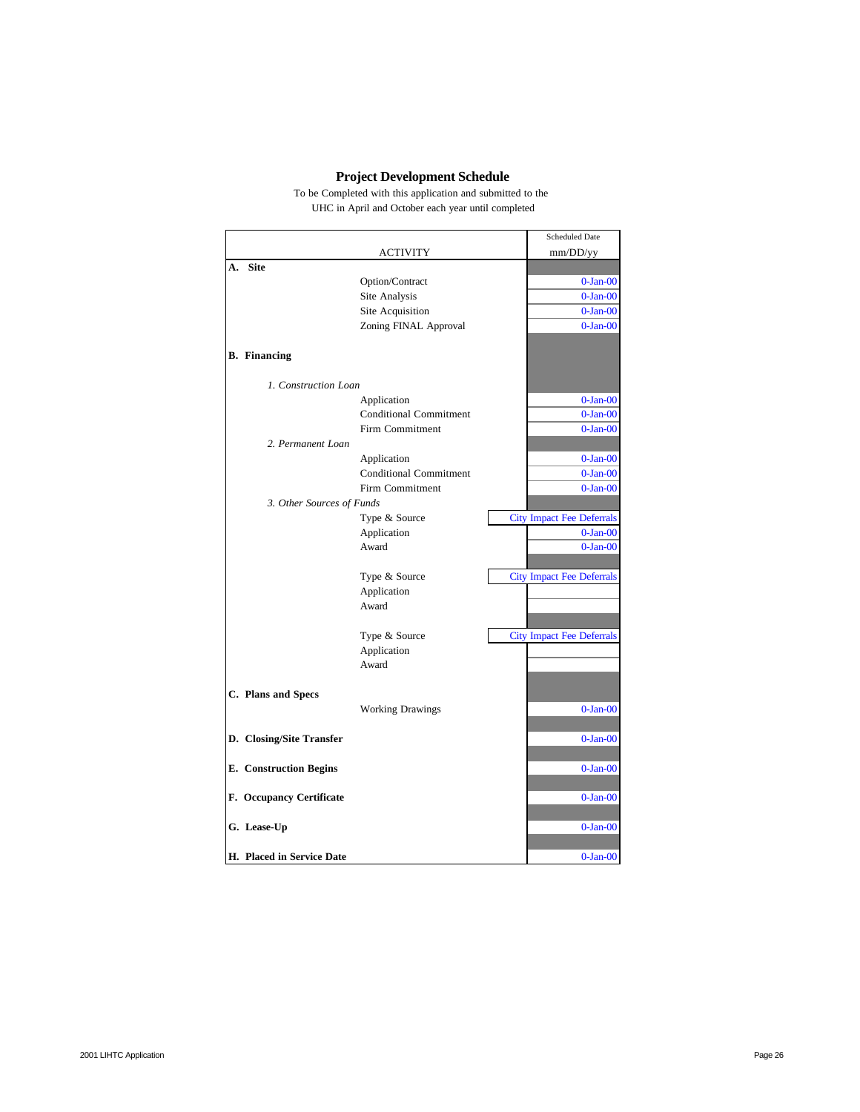# **Project Development Schedule**

To be Completed with this application and submitted to the UHC in April and October each year until completed

|    |                               |                               | <b>Scheduled Date</b>            |
|----|-------------------------------|-------------------------------|----------------------------------|
|    |                               | <b>ACTIVITY</b>               | mm/DD/yy                         |
| A. | <b>Site</b>                   |                               |                                  |
|    |                               | Option/Contract               | $0$ -Jan- $00$                   |
|    |                               | Site Analysis                 | $0$ -Jan- $00$                   |
|    |                               | Site Acquisition              | $0$ -Jan- $00$                   |
|    |                               | Zoning FINAL Approval         | $0$ -Jan- $00$                   |
|    |                               |                               |                                  |
|    | <b>B.</b> Financing           |                               |                                  |
|    |                               |                               |                                  |
|    | 1. Construction Loan          |                               |                                  |
|    |                               | Application                   | $0$ -Jan- $00$                   |
|    |                               | <b>Conditional Commitment</b> | $0$ -Jan- $00$                   |
|    |                               | Firm Commitment               | $0$ -Jan- $00$                   |
|    | 2. Permanent Loan             |                               |                                  |
|    |                               | Application                   | $0$ -Jan- $00$                   |
|    |                               | <b>Conditional Commitment</b> | $0$ -Jan- $00$                   |
|    |                               | Firm Commitment               | $0$ -Jan- $00$                   |
|    | 3. Other Sources of Funds     |                               |                                  |
|    |                               | Type & Source                 | <b>City Impact Fee Deferrals</b> |
|    |                               | Application                   | $0$ -Jan- $00$                   |
|    |                               | Award                         | $0$ -Jan- $00$                   |
|    |                               |                               |                                  |
|    |                               | Type & Source                 | <b>City Impact Fee Deferrals</b> |
|    |                               | Application                   |                                  |
|    |                               | Award                         |                                  |
|    |                               |                               |                                  |
|    |                               | Type & Source                 | <b>City Impact Fee Deferrals</b> |
|    |                               | Application<br>Award          |                                  |
|    |                               |                               |                                  |
|    | C. Plans and Specs            |                               |                                  |
|    |                               | <b>Working Drawings</b>       | $0$ -Jan- $00$                   |
|    |                               |                               |                                  |
|    | D. Closing/Site Transfer      |                               | $0$ -Jan- $00$                   |
|    |                               |                               |                                  |
|    | <b>E.</b> Construction Begins |                               | $0$ -Jan- $00$                   |
|    |                               |                               |                                  |
|    | F. Occupancy Certificate      |                               | $0$ -Jan- $00$                   |
|    |                               |                               |                                  |
|    | G. Lease-Up                   |                               | $0$ -Jan- $00$                   |
|    |                               |                               |                                  |
|    | H. Placed in Service Date     |                               | $0$ -Jan- $00$                   |
|    |                               |                               |                                  |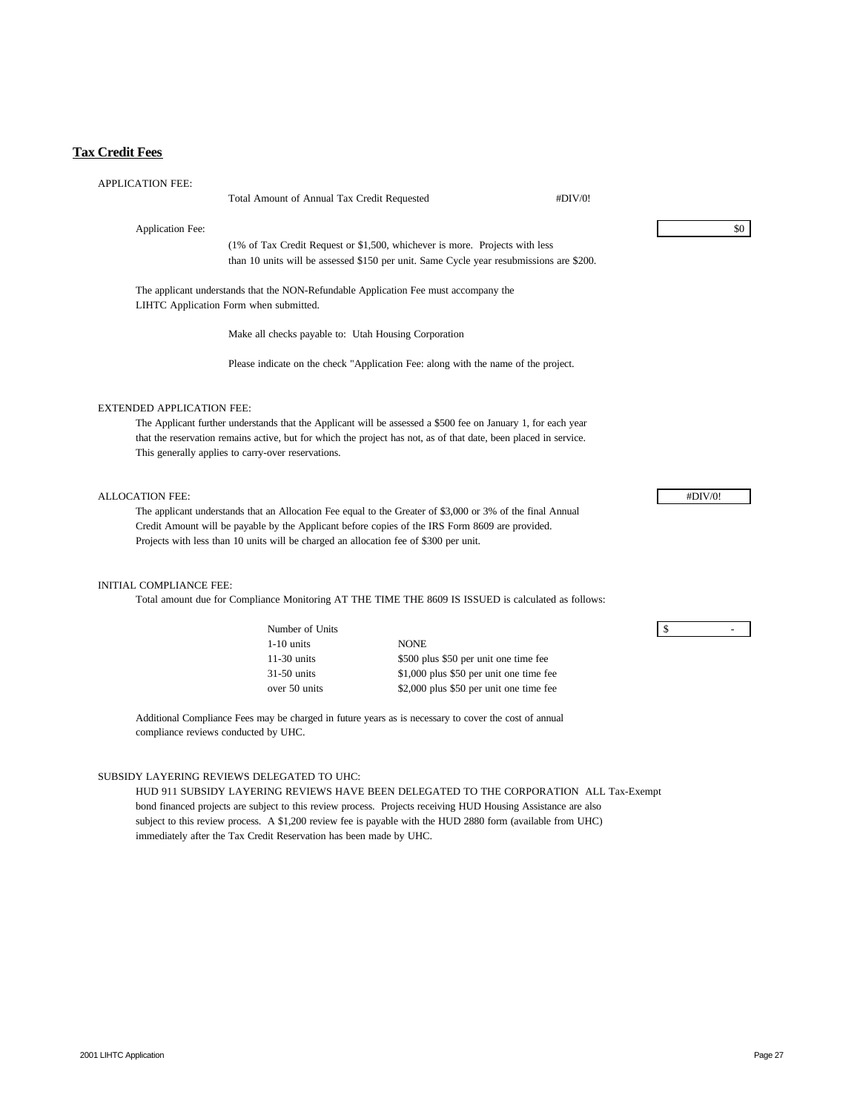# **Tax Credit Fees**

| <b>APPLICATION FEE:</b>              |                                                                                                                                |                                                                                                                  |         |              |
|--------------------------------------|--------------------------------------------------------------------------------------------------------------------------------|------------------------------------------------------------------------------------------------------------------|---------|--------------|
|                                      | Total Amount of Annual Tax Credit Requested                                                                                    |                                                                                                                  | #DIV/0! |              |
|                                      |                                                                                                                                |                                                                                                                  |         |              |
| <b>Application Fee:</b>              |                                                                                                                                |                                                                                                                  |         | \$0          |
|                                      |                                                                                                                                | (1% of Tax Credit Request or \$1,500, whichever is more. Projects with less                                      |         |              |
|                                      |                                                                                                                                | than 10 units will be assessed \$150 per unit. Same Cycle year resubmissions are \$200.                          |         |              |
|                                      | The applicant understands that the NON-Refundable Application Fee must accompany the<br>LIHTC Application Form when submitted. |                                                                                                                  |         |              |
|                                      | Make all checks payable to: Utah Housing Corporation                                                                           |                                                                                                                  |         |              |
|                                      |                                                                                                                                | Please indicate on the check "Application Fee: along with the name of the project.                               |         |              |
| <b>EXTENDED APPLICATION FEE:</b>     |                                                                                                                                |                                                                                                                  |         |              |
|                                      |                                                                                                                                | The Applicant further understands that the Applicant will be assessed a \$500 fee on January 1, for each year    |         |              |
|                                      |                                                                                                                                | that the reservation remains active, but for which the project has not, as of that date, been placed in service. |         |              |
|                                      | This generally applies to carry-over reservations.                                                                             |                                                                                                                  |         |              |
|                                      |                                                                                                                                |                                                                                                                  |         |              |
| <b>ALLOCATION FEE:</b>               |                                                                                                                                |                                                                                                                  |         | #DIV/0!      |
|                                      |                                                                                                                                | The applicant understands that an Allocation Fee equal to the Greater of \$3,000 or 3% of the final Annual       |         |              |
|                                      |                                                                                                                                | Credit Amount will be payable by the Applicant before copies of the IRS Form 8609 are provided.                  |         |              |
|                                      | Projects with less than 10 units will be charged an allocation fee of \$300 per unit.                                          |                                                                                                                  |         |              |
|                                      |                                                                                                                                |                                                                                                                  |         |              |
| INITIAL COMPLIANCE FEE:              |                                                                                                                                |                                                                                                                  |         |              |
|                                      |                                                                                                                                | Total amount due for Compliance Monitoring AT THE TIME THE 8609 IS ISSUED is calculated as follows:              |         |              |
|                                      | Number of Units                                                                                                                |                                                                                                                  |         | \$<br>$\sim$ |
|                                      | $1-10$ units                                                                                                                   | <b>NONE</b>                                                                                                      |         |              |
|                                      | $11-30$ units                                                                                                                  | \$500 plus \$50 per unit one time fee                                                                            |         |              |
|                                      | $31-50$ units                                                                                                                  | \$1,000 plus \$50 per unit one time fee                                                                          |         |              |
|                                      | over 50 units                                                                                                                  | \$2,000 plus \$50 per unit one time fee                                                                          |         |              |
| compliance reviews conducted by UHC. |                                                                                                                                | Additional Compliance Fees may be charged in future years as is necessary to cover the cost of annual            |         |              |
|                                      |                                                                                                                                |                                                                                                                  |         |              |
|                                      | SUBSIDY LAYERING REVIEWS DELEGATED TO UHC:                                                                                     |                                                                                                                  |         |              |
|                                      |                                                                                                                                | HUD 911 SUBSIDY LAYERING REVIEWS HAVE BEEN DELEGATED TO THE CORPORATION ALL Tax-Exempt                           |         |              |
|                                      |                                                                                                                                | bond financed projects are subject to this review process. Projects receiving HUD Housing Assistance are also    |         |              |
|                                      |                                                                                                                                | subject to this review process. A \$1,200 review fee is payable with the HUD 2880 form (available from UHC)      |         |              |
|                                      | immediately after the Tax Credit Reservation has been made by UHC.                                                             |                                                                                                                  |         |              |
|                                      |                                                                                                                                |                                                                                                                  |         |              |
|                                      |                                                                                                                                |                                                                                                                  |         |              |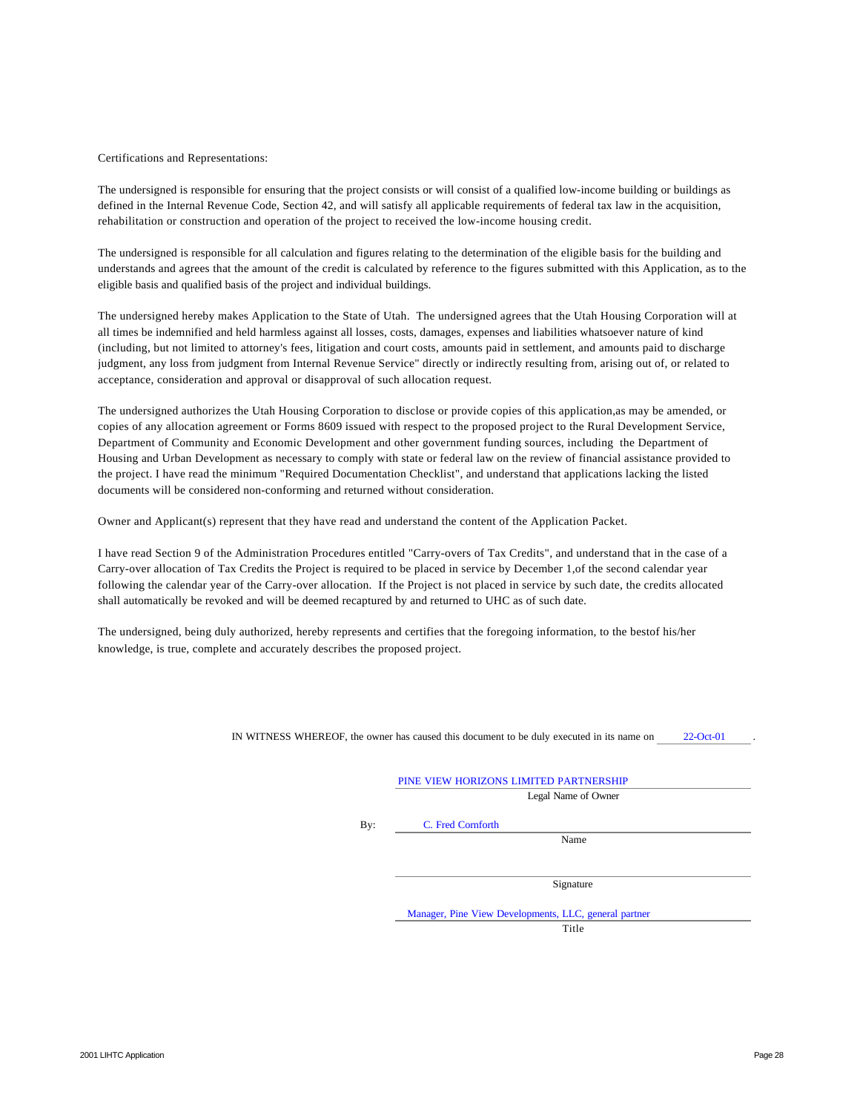#### Certifications and Representations:

The undersigned is responsible for ensuring that the project consists or will consist of a qualified low-income building or buildings as defined in the Internal Revenue Code, Section 42, and will satisfy all applicable requirements of federal tax law in the acquisition, rehabilitation or construction and operation of the project to received the low-income housing credit.

The undersigned is responsible for all calculation and figures relating to the determination of the eligible basis for the building and understands and agrees that the amount of the credit is calculated by reference to the figures submitted with this Application, as to the eligible basis and qualified basis of the project and individual buildings.

The undersigned hereby makes Application to the State of Utah. The undersigned agrees that the Utah Housing Corporation will at all times be indemnified and held harmless against all losses, costs, damages, expenses and liabilities whatsoever nature of kind (including, but not limited to attorney's fees, litigation and court costs, amounts paid in settlement, and amounts paid to discharge judgment, any loss from judgment from Internal Revenue Service" directly or indirectly resulting from, arising out of, or related to acceptance, consideration and approval or disapproval of such allocation request.

The undersigned authorizes the Utah Housing Corporation to disclose or provide copies of this application,as may be amended, or copies of any allocation agreement or Forms 8609 issued with respect to the proposed project to the Rural Development Service, Department of Community and Economic Development and other government funding sources, including the Department of Housing and Urban Development as necessary to comply with state or federal law on the review of financial assistance provided to the project. I have read the minimum "Required Documentation Checklist", and understand that applications lacking the listed documents will be considered non-conforming and returned without consideration.

Owner and Applicant(s) represent that they have read and understand the content of the Application Packet.

I have read Section 9 of the Administration Procedures entitled "Carry-overs of Tax Credits", and understand that in the case of a Carry-over allocation of Tax Credits the Project is required to be placed in service by December 1,of the second calendar year following the calendar year of the Carry-over allocation. If the Project is not placed in service by such date, the credits allocated shall automatically be revoked and will be deemed recaptured by and returned to UHC as of such date.

The undersigned, being duly authorized, hereby represents and certifies that the foregoing information, to the bestof his/her knowledge, is true, complete and accurately describes the proposed project.

IN WITNESS WHEREOF, the owner has caused this document to be duly executed in its name on 22-Oct-01 .

|     | Legal Name of Owner                                   |
|-----|-------------------------------------------------------|
| By: | C. Fred Cornforth                                     |
|     | Name                                                  |
|     |                                                       |
|     | Signature                                             |
|     | Manager, Pine View Developments, LLC, general partner |
|     | Title                                                 |

2001 LIHTC Application **Page 28**